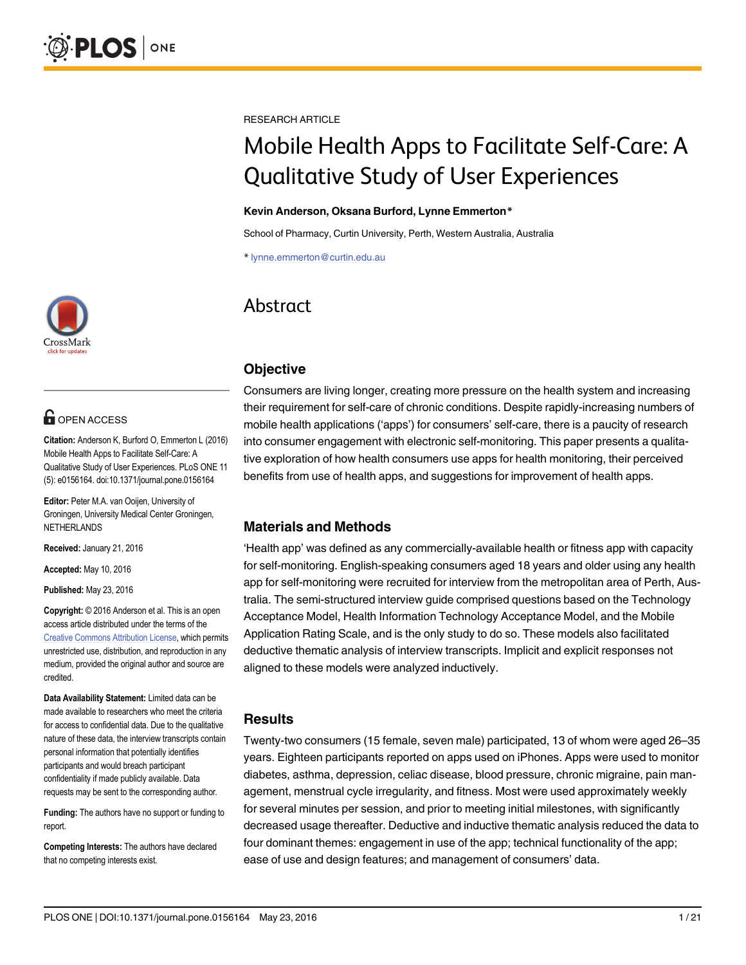

# **G** OPEN ACCESS

Citation: Anderson K, Burford O, Emmerton L (2016) Mobile Health Apps to Facilitate Self-Care: A Qualitative Study of User Experiences. PLoS ONE 11 (5): e0156164. doi:10.1371/journal.pone.0156164

Editor: Peter M.A. van Ooijen, University of Groningen, University Medical Center Groningen, NETHERLANDS

Received: January 21, 2016

Accepted: May 10, 2016

Published: May 23, 2016

Copyright: © 2016 Anderson et al. This is an open access article distributed under the terms of the [Creative Commons Attribution License,](http://creativecommons.org/licenses/by/4.0/) which permits unrestricted use, distribution, and reproduction in any medium, provided the original author and source are credited.

Data Availability Statement: Limited data can be made available to researchers who meet the criteria for access to confidential data. Due to the qualitative nature of these data, the interview transcripts contain personal information that potentially identifies participants and would breach participant confidentiality if made publicly available. Data requests may be sent to the corresponding author.

Funding: The authors have no support or funding to report.

Competing Interests: The authors have declared that no competing interests exist.

RESEARCH ARTICLE

# Mobile Health Apps to Facilitate Self-Care: A Qualitative Study of User Experiences

#### Kevin Anderson, Oksana Burford, Lynne Emmerton\*

School of Pharmacy, Curtin University, Perth, Western Australia, Australia

\* lynne.emmerton@curtin.edu.au

# Abstract

# **Objective**

Consumers are living longer, creating more pressure on the health system and increasing their requirement for self-care of chronic conditions. Despite rapidly-increasing numbers of mobile health applications ('apps') for consumers' self-care, there is a paucity of research into consumer engagement with electronic self-monitoring. This paper presents a qualitative exploration of how health consumers use apps for health monitoring, their perceived benefits from use of health apps, and suggestions for improvement of health apps.

# Materials and Methods

'Health app' was defined as any commercially-available health or fitness app with capacity for self-monitoring. English-speaking consumers aged 18 years and older using any health app for self-monitoring were recruited for interview from the metropolitan area of Perth, Australia. The semi-structured interview guide comprised questions based on the Technology Acceptance Model, Health Information Technology Acceptance Model, and the Mobile Application Rating Scale, and is the only study to do so. These models also facilitated deductive thematic analysis of interview transcripts. Implicit and explicit responses not aligned to these models were analyzed inductively.

# **Results**

Twenty-two consumers (15 female, seven male) participated, 13 of whom were aged 26–35 years. Eighteen participants reported on apps used on iPhones. Apps were used to monitor diabetes, asthma, depression, celiac disease, blood pressure, chronic migraine, pain management, menstrual cycle irregularity, and fitness. Most were used approximately weekly for several minutes per session, and prior to meeting initial milestones, with significantly decreased usage thereafter. Deductive and inductive thematic analysis reduced the data to four dominant themes: engagement in use of the app; technical functionality of the app; ease of use and design features; and management of consumers' data.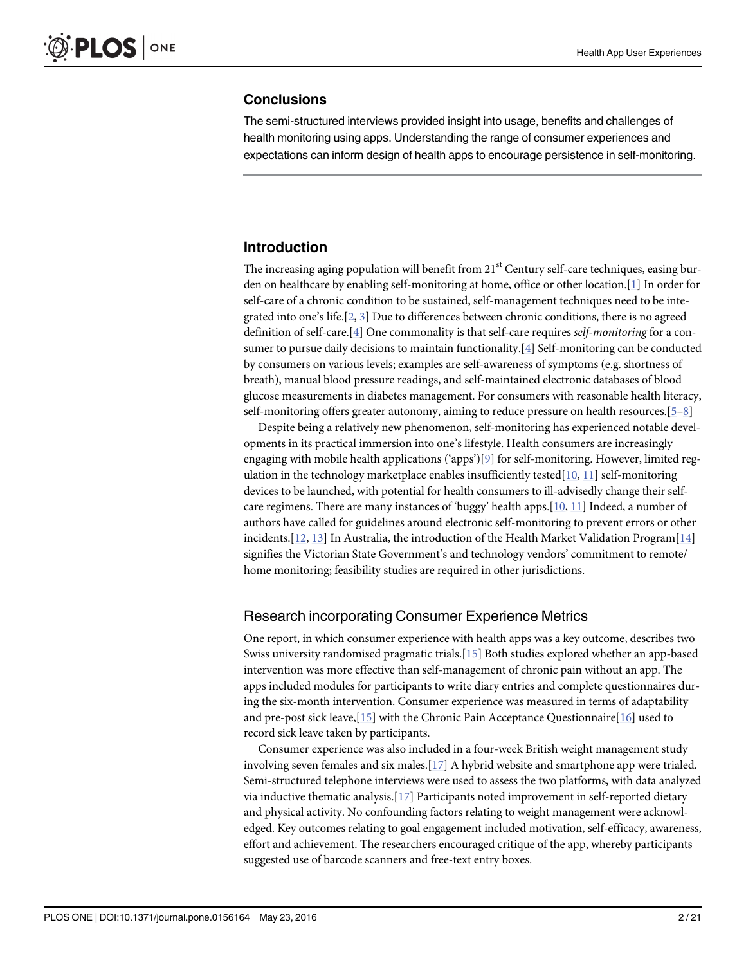#### <span id="page-1-0"></span>**Conclusions**

The semi-structured interviews provided insight into usage, benefits and challenges of health monitoring using apps. Understanding the range of consumer experiences and expectations can inform design of health apps to encourage persistence in self-monitoring.

#### Introduction

The increasing aging population will benefit from 21<sup>st</sup> Century self-care techniques, easing burden on healthcare by enabling self-monitoring at home, office or other location.[[1\]](#page-17-0) In order for self-care of a chronic condition to be sustained, self-management techniques need to be integrated into one's life.[[2,](#page-17-0) [3\]](#page-17-0) Due to differences between chronic conditions, there is no agreed definition of self-care.[\[4\]](#page-17-0) One commonality is that self-care requires self-monitoring for a consumer to pursue daily decisions to maintain functionality.[\[4\]](#page-17-0) Self-monitoring can be conducted by consumers on various levels; examples are self-awareness of symptoms (e.g. shortness of breath), manual blood pressure readings, and self-maintained electronic databases of blood glucose measurements in diabetes management. For consumers with reasonable health literacy, self-monitoring offers greater autonomy, aiming to reduce pressure on health resources.[[5](#page-17-0)–[8\]](#page-17-0)

Despite being a relatively new phenomenon, self-monitoring has experienced notable developments in its practical immersion into one's lifestyle. Health consumers are increasingly engaging with mobile health applications ('apps')[[9\]](#page-17-0) for self-monitoring. However, limited regulation in the technology marketplace enables insufficiently tested $[10, 11]$  $[10, 11]$  $[10, 11]$  self-monitoring devices to be launched, with potential for health consumers to ill-advisedly change their selfcare regimens. There are many instances of 'buggy' health apps.[[10](#page-17-0), [11](#page-18-0)] Indeed, a number of authors have called for guidelines around electronic self-monitoring to prevent errors or other incidents. [[12](#page-18-0), [13](#page-18-0)] In Australia, the introduction of the Health Market Validation Program [[14\]](#page-18-0) signifies the Victorian State Government's and technology vendors' commitment to remote/ home monitoring; feasibility studies are required in other jurisdictions.

#### Research incorporating Consumer Experience Metrics

One report, in which consumer experience with health apps was a key outcome, describes two Swiss university randomised pragmatic trials.[[15](#page-18-0)] Both studies explored whether an app-based intervention was more effective than self-management of chronic pain without an app. The apps included modules for participants to write diary entries and complete questionnaires during the six-month intervention. Consumer experience was measured in terms of adaptability and pre-post sick leave,  $[15]$  $[15]$  $[15]$  with the Chronic Pain Acceptance Questionnaire  $[16]$  $[16]$  used to record sick leave taken by participants.

Consumer experience was also included in a four-week British weight management study involving seven females and six males.[[17](#page-18-0)] A hybrid website and smartphone app were trialed. Semi-structured telephone interviews were used to assess the two platforms, with data analyzed via inductive thematic analysis.[[17](#page-18-0)] Participants noted improvement in self-reported dietary and physical activity. No confounding factors relating to weight management were acknowledged. Key outcomes relating to goal engagement included motivation, self-efficacy, awareness, effort and achievement. The researchers encouraged critique of the app, whereby participants suggested use of barcode scanners and free-text entry boxes.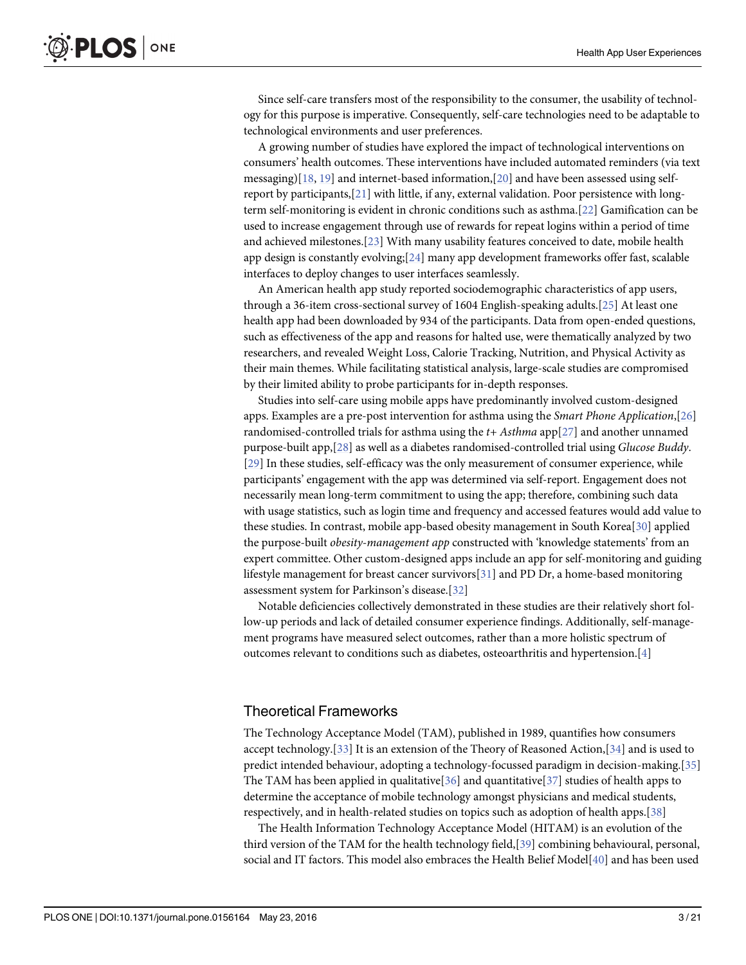<span id="page-2-0"></span>Since self-care transfers most of the responsibility to the consumer, the usability of technology for this purpose is imperative. Consequently, self-care technologies need to be adaptable to technological environments and user preferences.

A growing number of studies have explored the impact of technological interventions on consumers' health outcomes. These interventions have included automated reminders (via text messaging) $[18, 19]$  $[18, 19]$  $[18, 19]$  $[18, 19]$  and internet-based information, $[20]$  $[20]$  and have been assessed using selfreport by participants,[[21](#page-18-0)] with little, if any, external validation. Poor persistence with longterm self-monitoring is evident in chronic conditions such as asthma.[[22](#page-18-0)] Gamification can be used to increase engagement through use of rewards for repeat logins within a period of time and achieved milestones.[\[23\]](#page-18-0) With many usability features conceived to date, mobile health app design is constantly evolving;[[24](#page-18-0)] many app development frameworks offer fast, scalable interfaces to deploy changes to user interfaces seamlessly.

An American health app study reported sociodemographic characteristics of app users, through a 36-item cross-sectional survey of 1604 English-speaking adults.[[25](#page-18-0)] At least one health app had been downloaded by 934 of the participants. Data from open-ended questions, such as effectiveness of the app and reasons for halted use, were thematically analyzed by two researchers, and revealed Weight Loss, Calorie Tracking, Nutrition, and Physical Activity as their main themes. While facilitating statistical analysis, large-scale studies are compromised by their limited ability to probe participants for in-depth responses.

Studies into self-care using mobile apps have predominantly involved custom-designed apps. Examples are a pre-post intervention for asthma using the Smart Phone Application,[[26\]](#page-18-0) randomised-controlled trials for asthma using the  $t+Asthma$  app[\[27](#page-18-0)] and another unnamed purpose-built app,[[28](#page-18-0)] as well as a diabetes randomised-controlled trial using Glucose Buddy. [\[29](#page-18-0)] In these studies, self-efficacy was the only measurement of consumer experience, while participants' engagement with the app was determined via self-report. Engagement does not necessarily mean long-term commitment to using the app; therefore, combining such data with usage statistics, such as login time and frequency and accessed features would add value to these studies. In contrast, mobile app-based obesity management in South Korea[[30\]](#page-19-0) applied the purpose-built *obesity-management app* constructed with 'knowledge statements' from an expert committee. Other custom-designed apps include an app for self-monitoring and guiding lifestyle management for breast cancer survivors[\[31\]](#page-19-0) and PD Dr, a home-based monitoring assessment system for Parkinson's disease.[\[32](#page-19-0)]

Notable deficiencies collectively demonstrated in these studies are their relatively short follow-up periods and lack of detailed consumer experience findings. Additionally, self-management programs have measured select outcomes, rather than a more holistic spectrum of outcomes relevant to conditions such as diabetes, osteoarthritis and hypertension.[[4](#page-17-0)]

#### Theoretical Frameworks

The Technology Acceptance Model (TAM), published in 1989, quantifies how consumers accept technology.[[33](#page-19-0)] It is an extension of the Theory of Reasoned Action,[\[34](#page-19-0)] and is used to predict intended behaviour, adopting a technology-focussed paradigm in decision-making.[\[35\]](#page-19-0) The TAM has been applied in qualitative[\[36\]](#page-19-0) and quantitative[[37](#page-19-0)] studies of health apps to determine the acceptance of mobile technology amongst physicians and medical students, respectively, and in health-related studies on topics such as adoption of health apps.[\[38\]](#page-19-0)

The Health Information Technology Acceptance Model (HITAM) is an evolution of the third version of the TAM for the health technology field,[[39](#page-19-0)] combining behavioural, personal, social and IT factors. This model also embraces the Health Belief Model[[40](#page-19-0)] and has been used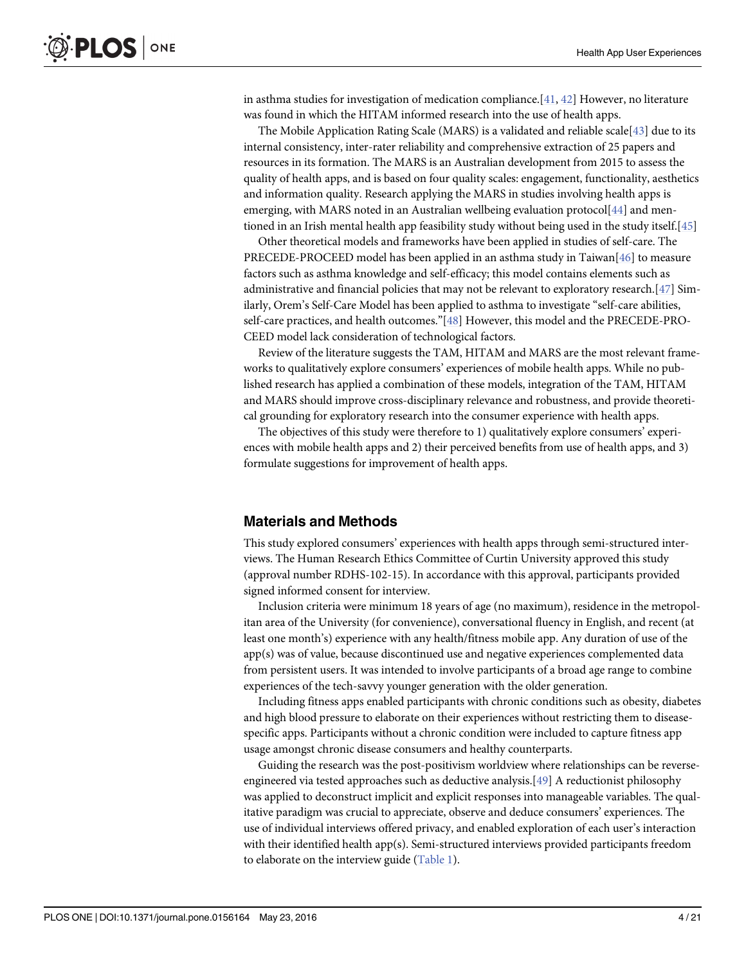<span id="page-3-0"></span>in asthma studies for investigation of medication compliance.[[41](#page-19-0), [42](#page-19-0)] However, no literature was found in which the HITAM informed research into the use of health apps.

The Mobile Application Rating Scale (MARS) is a validated and reliable scale $[43]$  $[43]$  $[43]$  due to its internal consistency, inter-rater reliability and comprehensive extraction of 25 papers and resources in its formation. The MARS is an Australian development from 2015 to assess the quality of health apps, and is based on four quality scales: engagement, functionality, aesthetics and information quality. Research applying the MARS in studies involving health apps is emerging, with MARS noted in an Australian wellbeing evaluation protocol[\[44\]](#page-19-0) and mentioned in an Irish mental health app feasibility study without being used in the study itself.[\[45](#page-19-0)]

Other theoretical models and frameworks have been applied in studies of self-care. The PRECEDE-PROCEED model has been applied in an asthma study in Taiwan[\[46](#page-19-0)] to measure factors such as asthma knowledge and self-efficacy; this model contains elements such as administrative and financial policies that may not be relevant to exploratory research.[[47\]](#page-19-0) Similarly, Orem's Self-Care Model has been applied to asthma to investigate "self-care abilities, self-care practices, and health outcomes."[[48](#page-19-0)] However, this model and the PRECEDE-PRO-CEED model lack consideration of technological factors.

Review of the literature suggests the TAM, HITAM and MARS are the most relevant frameworks to qualitatively explore consumers' experiences of mobile health apps. While no published research has applied a combination of these models, integration of the TAM, HITAM and MARS should improve cross-disciplinary relevance and robustness, and provide theoretical grounding for exploratory research into the consumer experience with health apps.

The objectives of this study were therefore to 1) qualitatively explore consumers' experiences with mobile health apps and 2) their perceived benefits from use of health apps, and 3) formulate suggestions for improvement of health apps.

#### Materials and Methods

This study explored consumers' experiences with health apps through semi-structured interviews. The Human Research Ethics Committee of Curtin University approved this study (approval number RDHS-102-15). In accordance with this approval, participants provided signed informed consent for interview.

Inclusion criteria were minimum 18 years of age (no maximum), residence in the metropolitan area of the University (for convenience), conversational fluency in English, and recent (at least one month's) experience with any health/fitness mobile app. Any duration of use of the app(s) was of value, because discontinued use and negative experiences complemented data from persistent users. It was intended to involve participants of a broad age range to combine experiences of the tech-savvy younger generation with the older generation.

Including fitness apps enabled participants with chronic conditions such as obesity, diabetes and high blood pressure to elaborate on their experiences without restricting them to diseasespecific apps. Participants without a chronic condition were included to capture fitness app usage amongst chronic disease consumers and healthy counterparts.

Guiding the research was the post-positivism worldview where relationships can be reverseengineered via tested approaches such as deductive analysis.[[49](#page-19-0)] A reductionist philosophy was applied to deconstruct implicit and explicit responses into manageable variables. The qualitative paradigm was crucial to appreciate, observe and deduce consumers' experiences. The use of individual interviews offered privacy, and enabled exploration of each user's interaction with their identified health app(s). Semi-structured interviews provided participants freedom to elaborate on the interview guide ([Table 1\)](#page-4-0).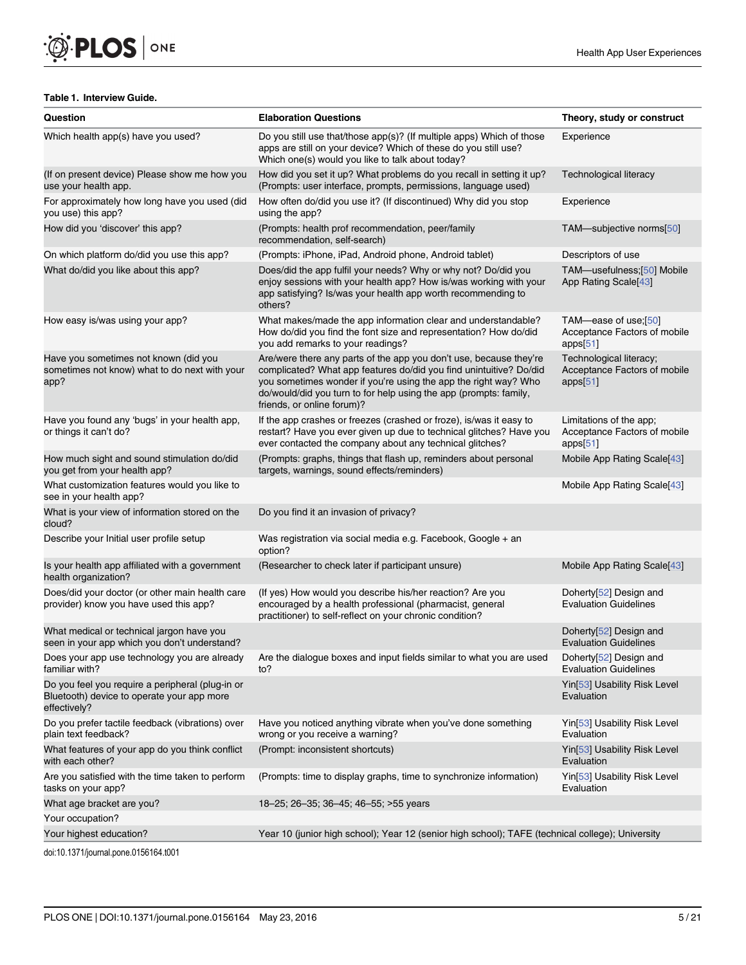#### <span id="page-4-0"></span>[Table 1.](#page-3-0) Interview Guide.

| Question                                                                                                       | <b>Elaboration Questions</b>                                                                                                                                                                                                                                                                                   | Theory, study or construct                                          |
|----------------------------------------------------------------------------------------------------------------|----------------------------------------------------------------------------------------------------------------------------------------------------------------------------------------------------------------------------------------------------------------------------------------------------------------|---------------------------------------------------------------------|
| Which health app(s) have you used?                                                                             | Do you still use that/those app(s)? (If multiple apps) Which of those<br>apps are still on your device? Which of these do you still use?<br>Which one(s) would you like to talk about today?                                                                                                                   | Experience                                                          |
| (If on present device) Please show me how you<br>use your health app.                                          | How did you set it up? What problems do you recall in setting it up?<br>(Prompts: user interface, prompts, permissions, language used)                                                                                                                                                                         | Technological literacy                                              |
| For approximately how long have you used (did<br>you use) this app?                                            | How often do/did you use it? (If discontinued) Why did you stop<br>using the app?                                                                                                                                                                                                                              | Experience                                                          |
| How did you 'discover' this app?                                                                               | (Prompts: health prof recommendation, peer/family<br>recommendation, self-search)                                                                                                                                                                                                                              | TAM-subjective norms[50]                                            |
| On which platform do/did you use this app?                                                                     | (Prompts: iPhone, iPad, Android phone, Android tablet)                                                                                                                                                                                                                                                         | Descriptors of use                                                  |
| What do/did you like about this app?                                                                           | Does/did the app fulfil your needs? Why or why not? Do/did you<br>enjoy sessions with your health app? How is/was working with your<br>app satisfying? Is/was your health app worth recommending to<br>others?                                                                                                 | TAM-usefulness;[50] Mobile<br>App Rating Scale[43]                  |
| How easy is/was using your app?                                                                                | What makes/made the app information clear and understandable?<br>How do/did you find the font size and representation? How do/did<br>you add remarks to your readings?                                                                                                                                         | TAM-ease of use,[50]<br>Acceptance Factors of mobile<br>apps[51]    |
| Have you sometimes not known (did you<br>sometimes not know) what to do next with your<br>app?                 | Are/were there any parts of the app you don't use, because they're<br>complicated? What app features do/did you find unintuitive? Do/did<br>you sometimes wonder if you're using the app the right way? Who<br>do/would/did you turn to for help using the app (prompts: family,<br>friends, or online forum)? | Technological literacy;<br>Acceptance Factors of mobile<br>apps[51] |
| Have you found any 'bugs' in your health app,<br>or things it can't do?                                        | If the app crashes or freezes (crashed or froze), is/was it easy to<br>restart? Have you ever given up due to technical glitches? Have you<br>ever contacted the company about any technical glitches?                                                                                                         | Limitations of the app;<br>Acceptance Factors of mobile<br>apps[51] |
| How much sight and sound stimulation do/did<br>you get from your health app?                                   | (Prompts: graphs, things that flash up, reminders about personal<br>targets, warnings, sound effects/reminders)                                                                                                                                                                                                | Mobile App Rating Scale[43]                                         |
| What customization features would you like to<br>see in your health app?                                       |                                                                                                                                                                                                                                                                                                                | Mobile App Rating Scale[43]                                         |
| What is your view of information stored on the<br>cloud?                                                       | Do you find it an invasion of privacy?                                                                                                                                                                                                                                                                         |                                                                     |
| Describe your Initial user profile setup                                                                       | Was registration via social media e.g. Facebook, Google + an<br>option?                                                                                                                                                                                                                                        |                                                                     |
| Is your health app affiliated with a government<br>health organization?                                        | (Researcher to check later if participant unsure)                                                                                                                                                                                                                                                              | Mobile App Rating Scale[43]                                         |
| Does/did your doctor (or other main health care<br>provider) know you have used this app?                      | (If yes) How would you describe his/her reaction? Are you<br>encouraged by a health professional (pharmacist, general<br>practitioner) to self-reflect on your chronic condition?                                                                                                                              | Doherty[52] Design and<br><b>Evaluation Guidelines</b>              |
| What medical or technical jargon have you<br>seen in your app which you don't understand?                      |                                                                                                                                                                                                                                                                                                                | Doherty[52] Design and<br><b>Evaluation Guidelines</b>              |
| Does your app use technology you are already<br>familiar with?                                                 | Are the dialogue boxes and input fields similar to what you are used<br>to?                                                                                                                                                                                                                                    | Doherty <sup>[52]</sup> Design and<br><b>Evaluation Guidelines</b>  |
| Do you feel you require a peripheral (plug-in or<br>Bluetooth) device to operate your app more<br>effectively? |                                                                                                                                                                                                                                                                                                                | Yin[53] Usability Risk Level<br>Evaluation                          |
| Do you prefer tactile feedback (vibrations) over<br>plain text feedback?                                       | Have you noticed anything vibrate when you've done something<br>wrong or you receive a warning?                                                                                                                                                                                                                | Yin[53] Usability Risk Level<br>Evaluation                          |
| What features of your app do you think conflict<br>with each other?                                            | (Prompt: inconsistent shortcuts)                                                                                                                                                                                                                                                                               | Yin[53] Usability Risk Level<br>Evaluation                          |
| Are you satisfied with the time taken to perform<br>tasks on your app?                                         | (Prompts: time to display graphs, time to synchronize information)                                                                                                                                                                                                                                             | Yin[53] Usability Risk Level<br>Evaluation                          |
| What age bracket are you?                                                                                      | 18-25; 26-35; 36-45; 46-55; >55 years                                                                                                                                                                                                                                                                          |                                                                     |
| Your occupation?                                                                                               |                                                                                                                                                                                                                                                                                                                |                                                                     |
| Your highest education?                                                                                        | Year 10 (junior high school); Year 12 (senior high school); TAFE (technical college); University                                                                                                                                                                                                               |                                                                     |

doi:10.1371/journal.pone.0156164.t001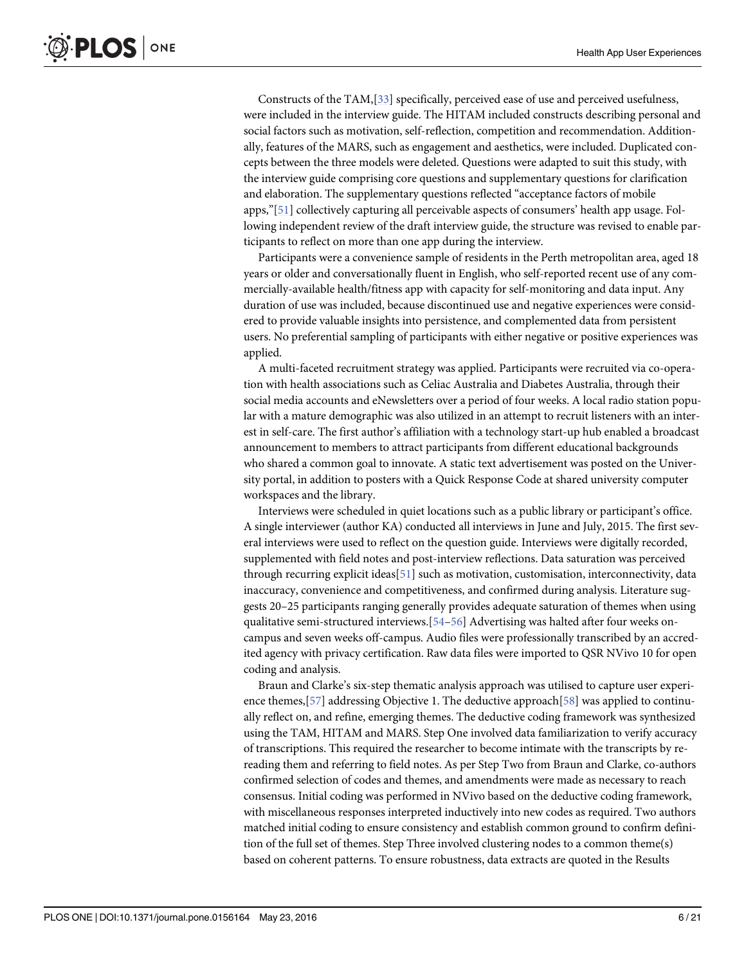<span id="page-5-0"></span>Constructs of the TAM,[[33\]](#page-19-0) specifically, perceived ease of use and perceived usefulness, were included in the interview guide. The HITAM included constructs describing personal and social factors such as motivation, self-reflection, competition and recommendation. Additionally, features of the MARS, such as engagement and aesthetics, were included. Duplicated concepts between the three models were deleted. Questions were adapted to suit this study, with the interview guide comprising core questions and supplementary questions for clarification and elaboration. The supplementary questions reflected "acceptance factors of mobile apps,"[\[51\]](#page-19-0) collectively capturing all perceivable aspects of consumers' health app usage. Following independent review of the draft interview guide, the structure was revised to enable participants to reflect on more than one app during the interview.

Participants were a convenience sample of residents in the Perth metropolitan area, aged 18 years or older and conversationally fluent in English, who self-reported recent use of any commercially-available health/fitness app with capacity for self-monitoring and data input. Any duration of use was included, because discontinued use and negative experiences were considered to provide valuable insights into persistence, and complemented data from persistent users. No preferential sampling of participants with either negative or positive experiences was applied.

A multi-faceted recruitment strategy was applied. Participants were recruited via co-operation with health associations such as Celiac Australia and Diabetes Australia, through their social media accounts and eNewsletters over a period of four weeks. A local radio station popular with a mature demographic was also utilized in an attempt to recruit listeners with an interest in self-care. The first author's affiliation with a technology start-up hub enabled a broadcast announcement to members to attract participants from different educational backgrounds who shared a common goal to innovate. A static text advertisement was posted on the University portal, in addition to posters with a Quick Response Code at shared university computer workspaces and the library.

Interviews were scheduled in quiet locations such as a public library or participant's office. A single interviewer (author KA) conducted all interviews in June and July, 2015. The first several interviews were used to reflect on the question guide. Interviews were digitally recorded, supplemented with field notes and post-interview reflections. Data saturation was perceived through recurring explicit ideas[\[51\]](#page-19-0) such as motivation, customisation, interconnectivity, data inaccuracy, convenience and competitiveness, and confirmed during analysis. Literature suggests 20–25 participants ranging generally provides adequate saturation of themes when using qualitative semi-structured interviews.[\[54](#page-20-0)–[56\]](#page-20-0) Advertising was halted after four weeks oncampus and seven weeks off-campus. Audio files were professionally transcribed by an accredited agency with privacy certification. Raw data files were imported to QSR NVivo 10 for open coding and analysis.

Braun and Clarke's six-step thematic analysis approach was utilised to capture user experience themes,[\[57\]](#page-20-0) addressing Objective 1. The deductive approach[\[58\]](#page-20-0) was applied to continually reflect on, and refine, emerging themes. The deductive coding framework was synthesized using the TAM, HITAM and MARS. Step One involved data familiarization to verify accuracy of transcriptions. This required the researcher to become intimate with the transcripts by rereading them and referring to field notes. As per Step Two from Braun and Clarke, co-authors confirmed selection of codes and themes, and amendments were made as necessary to reach consensus. Initial coding was performed in NVivo based on the deductive coding framework, with miscellaneous responses interpreted inductively into new codes as required. Two authors matched initial coding to ensure consistency and establish common ground to confirm definition of the full set of themes. Step Three involved clustering nodes to a common theme(s) based on coherent patterns. To ensure robustness, data extracts are quoted in the Results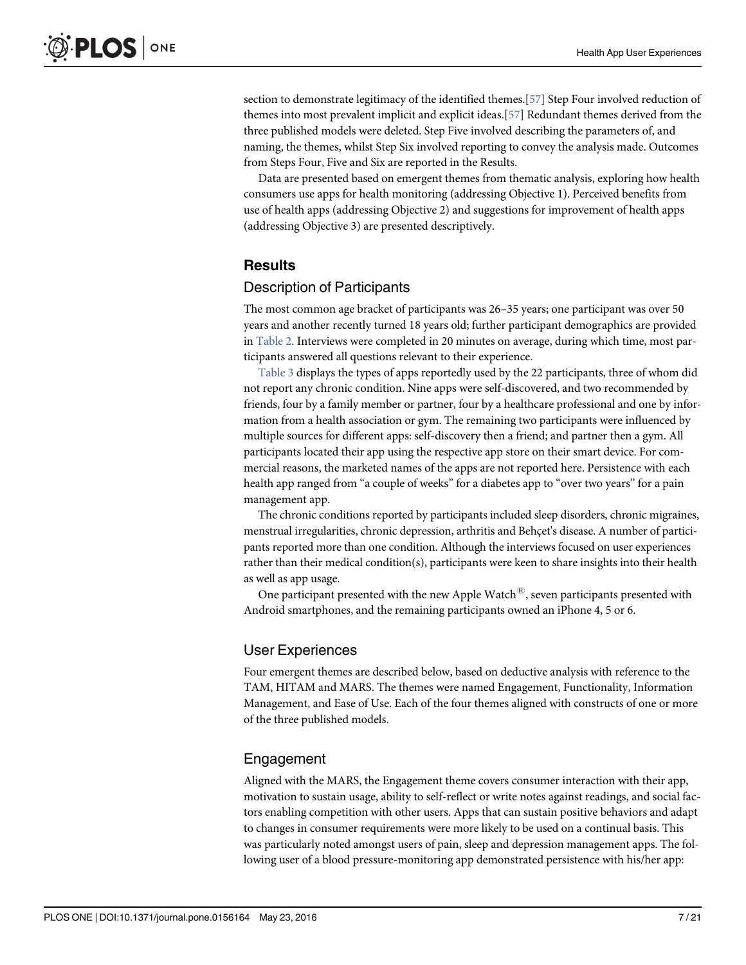<span id="page-6-0"></span>section to demonstrate legitimacy of the identified themes.[[57](#page-20-0)] Step Four involved reduction of themes into most prevalent implicit and explicit ideas.[\[57\]](#page-20-0) Redundant themes derived from the three published models were deleted. Step Five involved describing the parameters of, and naming, the themes, whilst Step Six involved reporting to convey the analysis made. Outcomes from Steps Four, Five and Six are reported in the Results.

Data are presented based on emergent themes from thematic analysis, exploring how health consumers use apps for health monitoring (addressing Objective 1). Perceived benefits from use of health apps (addressing Objective 2) and suggestions for improvement of health apps (addressing Objective 3) are presented descriptively.

### **Results**

#### Description of Participants

The most common age bracket of participants was 26–35 years; one participant was over 50 years and another recently turned 18 years old; further participant demographics are provided in [Table 2](#page-7-0). Interviews were completed in 20 minutes on average, during which time, most participants answered all questions relevant to their experience.

[Table 3](#page-8-0) displays the types of apps reportedly used by the 22 participants, three of whom did not report any chronic condition. Nine apps were self-discovered, and two recommended by friends, four by a family member or partner, four by a healthcare professional and one by information from a health association or gym. The remaining two participants were influenced by multiple sources for different apps: self-discovery then a friend; and partner then a gym. All participants located their app using the respective app store on their smart device. For commercial reasons, the marketed names of the apps are not reported here. Persistence with each health app ranged from "a couple of weeks" for a diabetes app to "over two years" for a pain management app.

The chronic conditions reported by participants included sleep disorders, chronic migraines, menstrual irregularities, chronic depression, arthritis and Behçet's disease. A number of participants reported more than one condition. Although the interviews focused on user experiences rather than their medical condition(s), participants were keen to share insights into their health as well as app usage.

One participant presented with the new Apple Watch $^{(8)}$ , seven participants presented with Android smartphones, and the remaining participants owned an iPhone 4, 5 or 6.

#### User Experiences

Four emergent themes are described below, based on deductive analysis with reference to the TAM, HITAM and MARS. The themes were named Engagement, Functionality, Information Management, and Ease of Use. Each of the four themes aligned with constructs of one or more of the three published models.

#### Engagement

Aligned with the MARS, the Engagement theme covers consumer interaction with their app, motivation to sustain usage, ability to self-reflect or write notes against readings, and social factors enabling competition with other users. Apps that can sustain positive behaviors and adapt to changes in consumer requirements were more likely to be used on a continual basis. This was particularly noted amongst users of pain, sleep and depression management apps. The following user of a blood pressure-monitoring app demonstrated persistence with his/her app: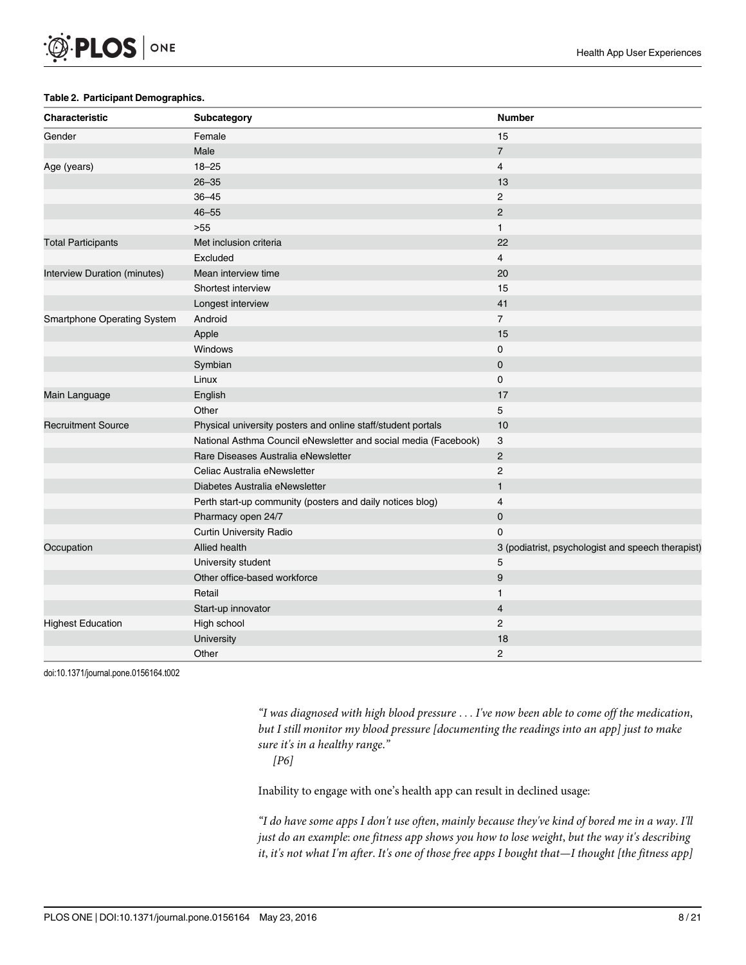#### <span id="page-7-0"></span>[Table 2.](#page-6-0) Participant Demographics.

| Characteristic               | Subcategory                                                     | <b>Number</b>                                     |
|------------------------------|-----------------------------------------------------------------|---------------------------------------------------|
| Gender                       | Female                                                          | 15                                                |
|                              | Male                                                            | $\overline{7}$                                    |
| Age (years)                  | $18 - 25$                                                       | 4                                                 |
|                              | $26 - 35$                                                       | 13                                                |
|                              | $36 - 45$                                                       | $\overline{c}$                                    |
|                              | $46 - 55$                                                       | $\overline{2}$                                    |
|                              | >55                                                             | $\mathbf{1}$                                      |
| <b>Total Participants</b>    | Met inclusion criteria                                          | 22                                                |
|                              | Excluded                                                        | $\overline{4}$                                    |
| Interview Duration (minutes) | Mean interview time                                             | 20                                                |
|                              | Shortest interview                                              | 15                                                |
|                              | Longest interview                                               | 41                                                |
| Smartphone Operating System  | Android                                                         | $\overline{7}$                                    |
|                              | Apple                                                           | 15                                                |
|                              | Windows                                                         | $\mathbf 0$                                       |
|                              | Symbian                                                         | $\mathbf 0$                                       |
|                              | Linux                                                           | $\mathbf 0$                                       |
| Main Language                | English                                                         | 17                                                |
|                              | Other                                                           | 5                                                 |
| <b>Recruitment Source</b>    | Physical university posters and online staff/student portals    | 10                                                |
|                              | National Asthma Council eNewsletter and social media (Facebook) | 3                                                 |
|                              | Rare Diseases Australia eNewsletter                             | $\overline{2}$                                    |
|                              | Celiac Australia eNewsletter                                    | $\overline{2}$                                    |
|                              | Diabetes Australia eNewsletter                                  | $\mathbf{1}$                                      |
|                              | Perth start-up community (posters and daily notices blog)       | 4                                                 |
|                              | Pharmacy open 24/7                                              | $\mathbf 0$                                       |
|                              | <b>Curtin University Radio</b>                                  | 0                                                 |
| Occupation                   | Allied health                                                   | 3 (podiatrist, psychologist and speech therapist) |
|                              | University student                                              | 5                                                 |
|                              | Other office-based workforce                                    | 9                                                 |
|                              | Retail                                                          | 1                                                 |
|                              | Start-up innovator                                              | 4                                                 |
| <b>Highest Education</b>     | High school                                                     | $\overline{c}$                                    |
|                              | University                                                      | 18                                                |
|                              | Other                                                           | $\overline{2}$                                    |

doi:10.1371/journal.pone.0156164.t002

"I was diagnosed with high blood pressure ... I've now been able to come off the medication, but I still monitor my blood pressure [documenting the readings into an app] just to make sure it's in a healthy range."

[P<sub>6</sub>]

Inability to engage with one's health app can result in declined usage:

"I do have some apps I don't use often, mainly because they've kind of bored me in a way. I'll just do an example: one fitness app shows you how to lose weight, but the way it's describing it, it's not what I'm after. It's one of those free apps I bought that—I thought [the fitness app]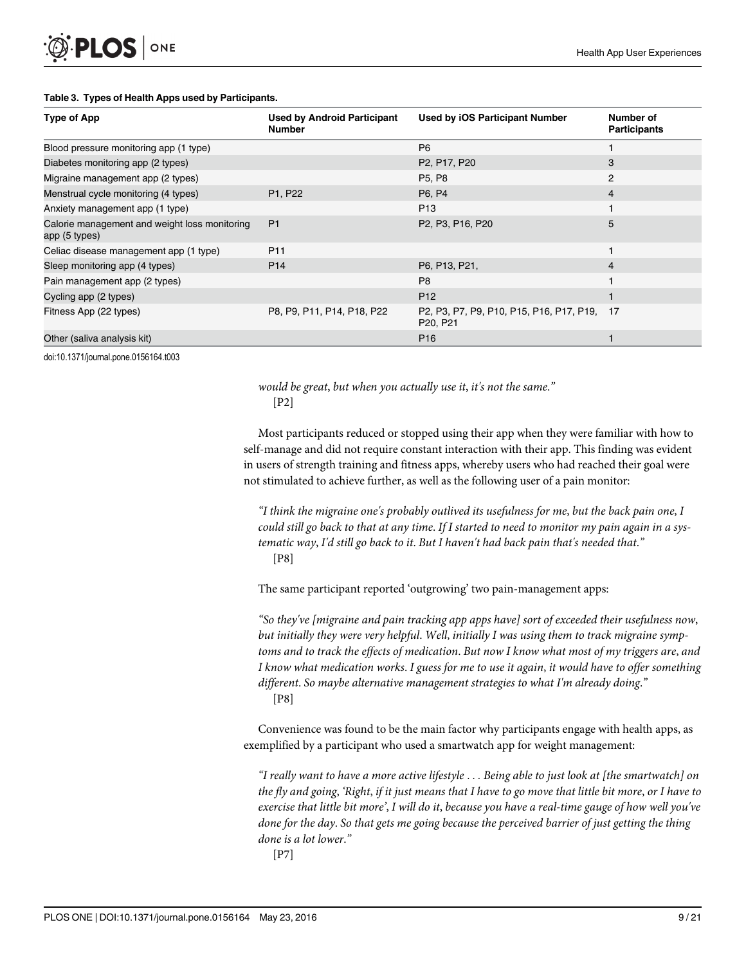| <b>Type of App</b>                                             | <b>Used by Android Participant</b><br>Number | <b>Used by iOS Participant Number</b>                   | Number of<br><b>Participants</b> |
|----------------------------------------------------------------|----------------------------------------------|---------------------------------------------------------|----------------------------------|
| Blood pressure monitoring app (1 type)                         |                                              | P <sub>6</sub>                                          |                                  |
| Diabetes monitoring app (2 types)                              |                                              | P2, P17, P20                                            | 3                                |
| Migraine management app (2 types)                              |                                              | P5, P8                                                  | $\overline{2}$                   |
| Menstrual cycle monitoring (4 types)                           | P1, P22                                      | P6, P4                                                  | 4                                |
| Anxiety management app (1 type)                                |                                              | P <sub>13</sub>                                         |                                  |
| Calorie management and weight loss monitoring<br>app (5 types) | P <sub>1</sub>                               | P2, P3, P16, P20                                        | 5                                |
| Celiac disease management app (1 type)                         | P <sub>11</sub>                              |                                                         |                                  |
| Sleep monitoring app (4 types)                                 | P <sub>14</sub>                              | P6, P13, P21,                                           | 4                                |
| Pain management app (2 types)                                  |                                              | P <sub>8</sub>                                          |                                  |
| Cycling app (2 types)                                          |                                              | P <sub>12</sub>                                         |                                  |
| Fitness App (22 types)                                         | P8, P9, P11, P14, P18, P22                   | P2, P3, P7, P9, P10, P15, P16, P17, P19, 17<br>P20, P21 |                                  |
| Other (saliva analysis kit)                                    |                                              | P <sub>16</sub>                                         |                                  |

#### <span id="page-8-0"></span>[Table 3.](#page-6-0) Types of Health Apps used by Participants.

doi:10.1371/journal.pone.0156164.t003

would be great, but when you actually use it, it's not the same." [P2]

Most participants reduced or stopped using their app when they were familiar with how to self-manage and did not require constant interaction with their app. This finding was evident in users of strength training and fitness apps, whereby users who had reached their goal were not stimulated to achieve further, as well as the following user of a pain monitor:

"I think the migraine one's probably outlived its usefulness for me, but the back pain one, I could still go back to that at any time. If I started to need to monitor my pain again in a systematic way, I'd still go back to it. But I haven't had back pain that's needed that." [P8]

The same participant reported 'outgrowing' two pain-management apps:

"So they've [migraine and pain tracking app apps have] sort of exceeded their usefulness now, but initially they were very helpful. Well, initially I was using them to track migraine symptoms and to track the effects of medication. But now I know what most of my triggers are, and I know what medication works. I guess for me to use it again, it would have to offer something different. So maybe alternative management strategies to what I'm already doing." [P8]

Convenience was found to be the main factor why participants engage with health apps, as exemplified by a participant who used a smartwatch app for weight management:

"I really want to have a more active lifestyle ... Being able to just look at [the smartwatch] on the fly and going, 'Right, if it just means that I have to go move that little bit more, or I have to exercise that little bit more', I will do it, because you have a real-time gauge of how well you've done for the day. So that gets me going because the perceived barrier of just getting the thing done is a lot lower."

[P7]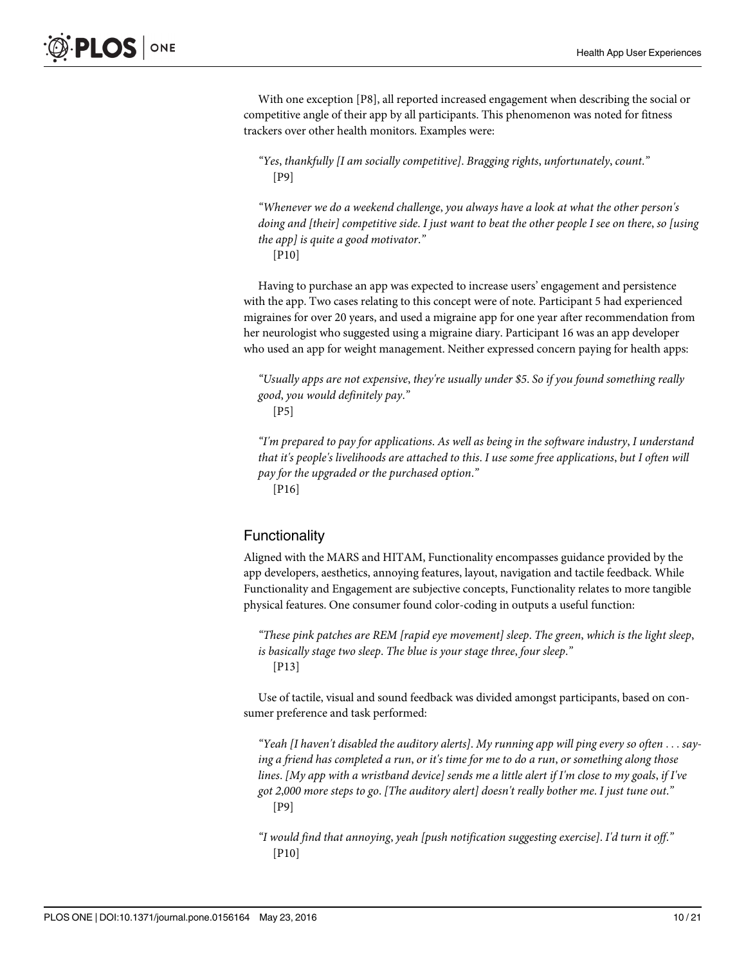With one exception [P8], all reported increased engagement when describing the social or competitive angle of their app by all participants. This phenomenon was noted for fitness trackers over other health monitors. Examples were:

"Yes, thankfully [I am socially competitive]. Bragging rights, unfortunately, count." [P9]

"Whenever we do a weekend challenge, you always have a look at what the other person's doing and [their] competitive side. I just want to beat the other people I see on there, so [using the app] is quite a good motivator." [P10]

Having to purchase an app was expected to increase users' engagement and persistence with the app. Two cases relating to this concept were of note. Participant 5 had experienced migraines for over 20 years, and used a migraine app for one year after recommendation from her neurologist who suggested using a migraine diary. Participant 16 was an app developer who used an app for weight management. Neither expressed concern paying for health apps:

"Usually apps are not expensive, they're usually under \$5. So if you found something really good, you would definitely pay."

 $[P5]$ 

"I'm prepared to pay for applications. As well as being in the software industry, I understand that it's people's livelihoods are attached to this. I use some free applications, but I often will pay for the upgraded or the purchased option." [P<sub>16</sub>]

#### Functionality

Aligned with the MARS and HITAM, Functionality encompasses guidance provided by the app developers, aesthetics, annoying features, layout, navigation and tactile feedback. While Functionality and Engagement are subjective concepts, Functionality relates to more tangible physical features. One consumer found color-coding in outputs a useful function:

"These pink patches are REM [rapid eye movement] sleep. The green, which is the light sleep, is basically stage two sleep. The blue is your stage three, four sleep." [P13]

Use of tactile, visual and sound feedback was divided amongst participants, based on consumer preference and task performed:

"Yeah [I haven't disabled the auditory alerts]. My running app will ping every so often ... saying a friend has completed a run, or it's time for me to do a run, or something along those lines. [My app with a wristband device] sends me a little alert if I'm close to my goals, if I've got 2,000 more steps to go. [The auditory alert] doesn't really bother me. I just tune out." [P9]

"I would find that annoying, yeah [push notification suggesting exercise]. I'd turn it off." [P10]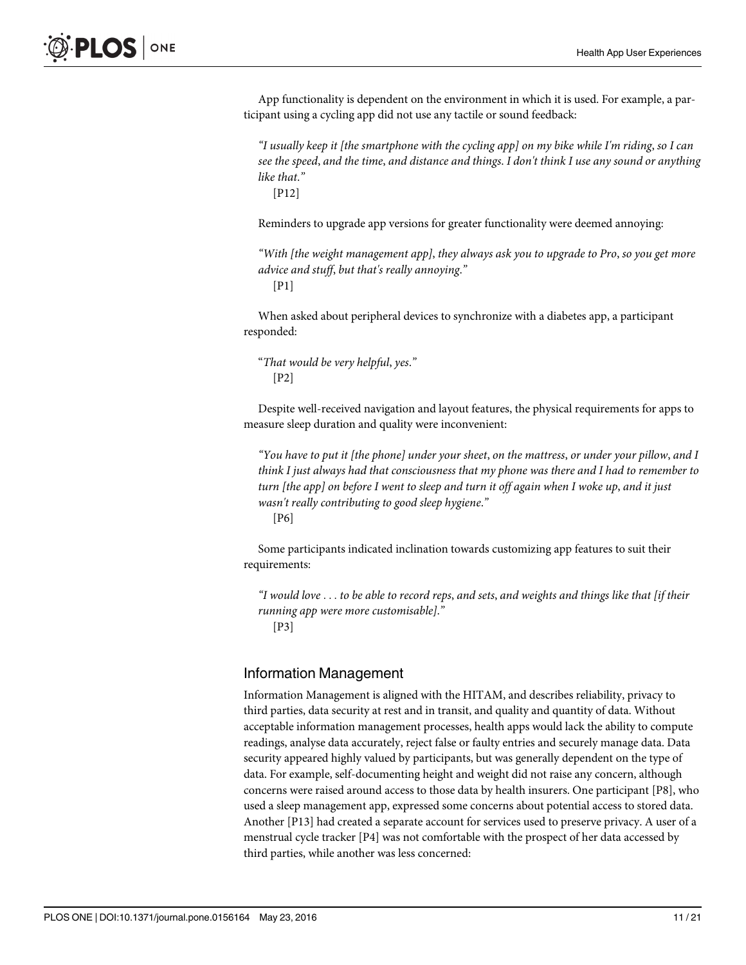App functionality is dependent on the environment in which it is used. For example, a participant using a cycling app did not use any tactile or sound feedback:

"I usually keep it [the smartphone with the cycling app] on my bike while I'm riding, so I can see the speed, and the time, and distance and things. I don't think I use any sound or anything like that."

[P12]

Reminders to upgrade app versions for greater functionality were deemed annoying:

"With [the weight management app], they always ask you to upgrade to Pro, so you get more advice and stuff, but that's really annoying."

[P1]

When asked about peripheral devices to synchronize with a diabetes app, a participant responded:

"That would be very helpful, yes." [P2]

Despite well-received navigation and layout features, the physical requirements for apps to measure sleep duration and quality were inconvenient:

"You have to put it [the phone] under your sheet, on the mattress, or under your pillow, and I think I just always had that consciousness that my phone was there and I had to remember to turn [the app] on before I went to sleep and turn it off again when I woke up, and it just wasn't really contributing to good sleep hygiene." [P6]

Some participants indicated inclination towards customizing app features to suit their requirements:

"I would love ... to be able to record reps, and sets, and weights and things like that [if their running app were more customisable]." [P3]

#### Information Management

Information Management is aligned with the HITAM, and describes reliability, privacy to third parties, data security at rest and in transit, and quality and quantity of data. Without acceptable information management processes, health apps would lack the ability to compute readings, analyse data accurately, reject false or faulty entries and securely manage data. Data security appeared highly valued by participants, but was generally dependent on the type of data. For example, self-documenting height and weight did not raise any concern, although concerns were raised around access to those data by health insurers. One participant [P8], who used a sleep management app, expressed some concerns about potential access to stored data. Another [P13] had created a separate account for services used to preserve privacy. A user of a menstrual cycle tracker [P4] was not comfortable with the prospect of her data accessed by third parties, while another was less concerned: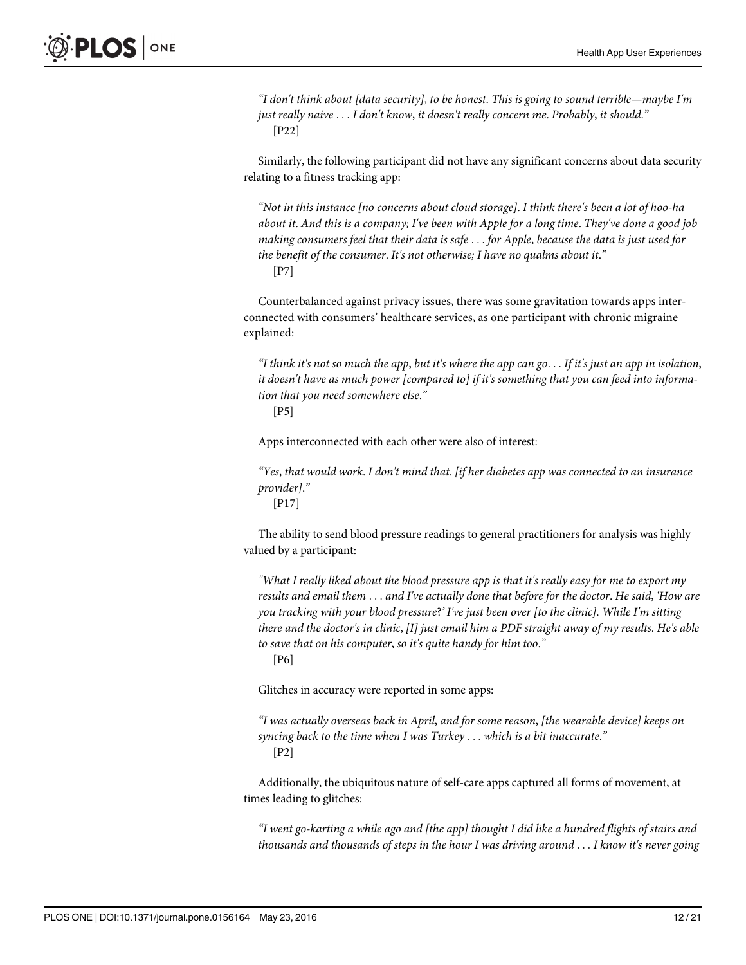"I don't think about [data security], to be honest. This is going to sound terrible—maybe I'm just really naive ... I don't know, it doesn't really concern me. Probably, it should." [P22]

Similarly, the following participant did not have any significant concerns about data security relating to a fitness tracking app:

"Not in this instance [no concerns about cloud storage]. I think there's been a lot of hoo-ha about it. And this is a company; I've been with Apple for a long time. They've done a good job making consumers feel that their data is safe ... for Apple, because the data is just used for the benefit of the consumer. It's not otherwise; I have no qualms about it." [P7]

Counterbalanced against privacy issues, there was some gravitation towards apps interconnected with consumers' healthcare services, as one participant with chronic migraine explained:

"I think it's not so much the app, but it's where the app can go... If it's just an app in isolation, it doesn't have as much power [compared to] if it's something that you can feed into information that you need somewhere else."

 $[P5]$ 

Apps interconnected with each other were also of interest:

"Yes, that would work. I don't mind that. [if her diabetes app was connected to an insurance provider]." [P17]

The ability to send blood pressure readings to general practitioners for analysis was highly valued by a participant:

"What I really liked about the blood pressure app is that it's really easy for me to export my results and email them ... and I've actually done that before for the doctor. He said, 'How are you tracking with your blood pressure?' I've just been over [to the clinic]. While I'm sitting there and the doctor's in clinic, [I] just email him a PDF straight away of my results. He's able to save that on his computer, so it's quite handy for him too." [P6]

Glitches in accuracy were reported in some apps:

"I was actually overseas back in April, and for some reason, [the wearable device] keeps on syncing back to the time when I was Turkey ... which is a bit inaccurate." [P2]

Additionally, the ubiquitous nature of self-care apps captured all forms of movement, at times leading to glitches:

"I went go-karting a while ago and [the app] thought I did like a hundred flights of stairs and thousands and thousands of steps in the hour I was driving around ... I know it's never going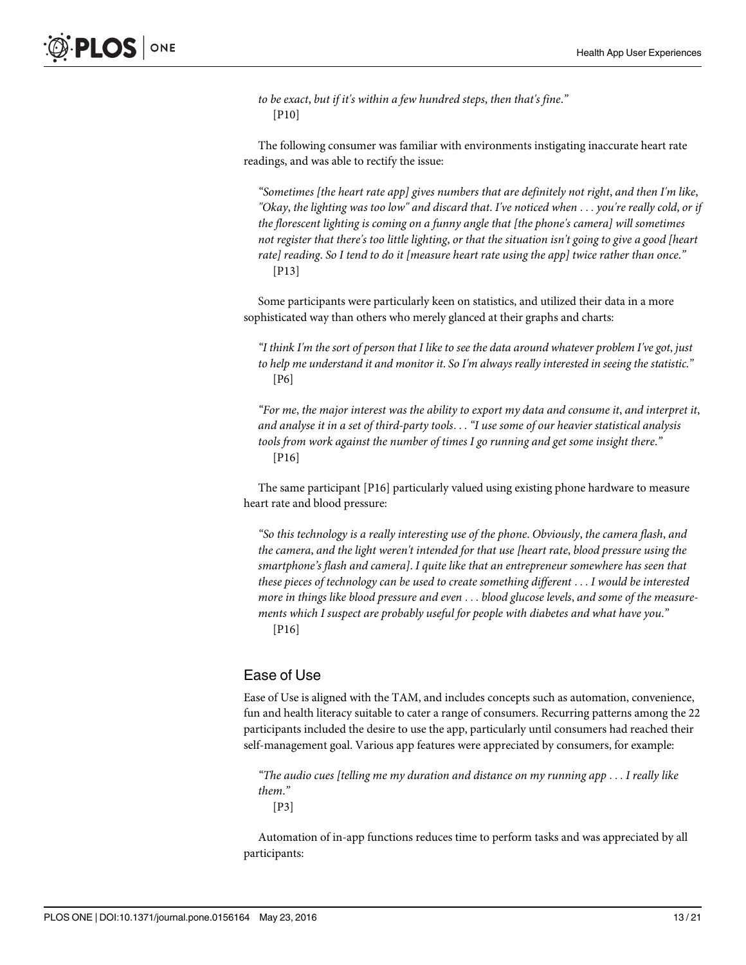to be exact, but if it's within a few hundred steps, then that's fine." [P10]

The following consumer was familiar with environments instigating inaccurate heart rate readings, and was able to rectify the issue:

"Sometimes [the heart rate app] gives numbers that are definitely not right, and then I'm like, "Okay, the lighting was too low" and discard that. I've noticed when ... you're really cold, or if the florescent lighting is coming on a funny angle that [the phone's camera] will sometimes not register that there's too little lighting, or that the situation isn't going to give a good [heart rate] reading. So I tend to do it [measure heart rate using the app] twice rather than once." [P13]

Some participants were particularly keen on statistics, and utilized their data in a more sophisticated way than others who merely glanced at their graphs and charts:

"I think I'm the sort of person that I like to see the data around whatever problem I've got, just to help me understand it and monitor it. So I'm always really interested in seeing the statistic." [P6]

"For me, the major interest was the ability to export my data and consume it, and interpret it, and analyse it in a set of third-party tools... "I use some of our heavier statistical analysis tools from work against the number of times I go running and get some insight there." [P16]

The same participant [P16] particularly valued using existing phone hardware to measure heart rate and blood pressure:

"So this technology is a really interesting use of the phone. Obviously, the camera flash, and the camera, and the light weren't intended for that use [heart rate, blood pressure using the smartphone's flash and camera]. I quite like that an entrepreneur somewhere has seen that these pieces of technology can be used to create something different ... I would be interested more in things like blood pressure and even ... blood glucose levels, and some of the measurements which I suspect are probably useful for people with diabetes and what have you." [P<sub>16</sub>]

#### Ease of Use

Ease of Use is aligned with the TAM, and includes concepts such as automation, convenience, fun and health literacy suitable to cater a range of consumers. Recurring patterns among the 22 participants included the desire to use the app, particularly until consumers had reached their self-management goal. Various app features were appreciated by consumers, for example:

"The audio cues [telling me my duration and distance on my running app ... I really like them."

[P3]

Automation of in-app functions reduces time to perform tasks and was appreciated by all participants: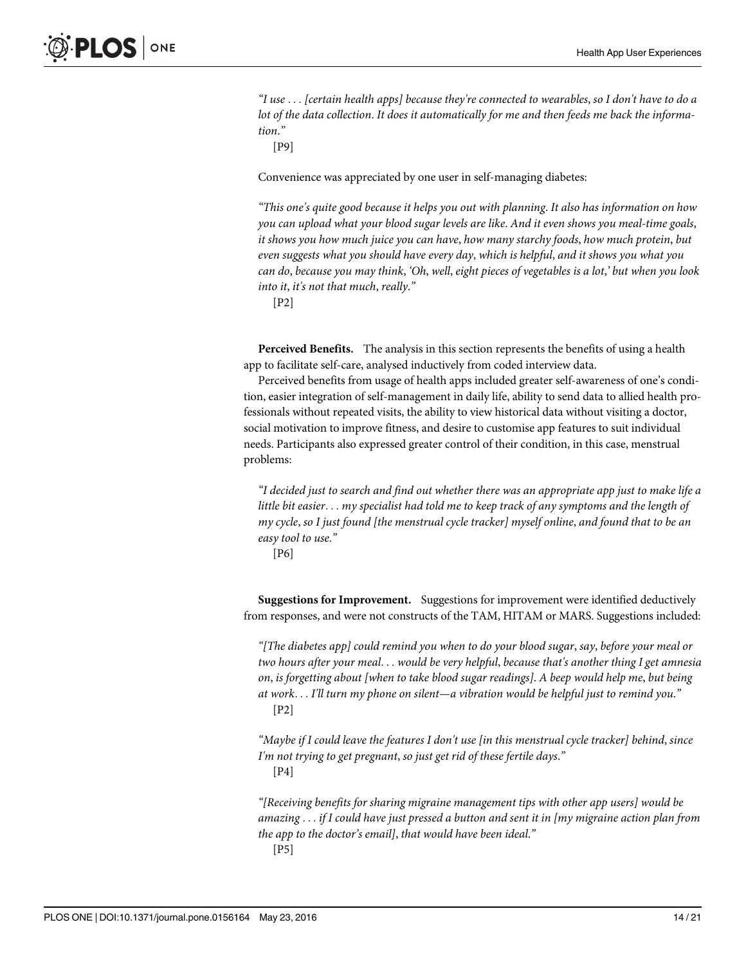"I use ... [certain health apps] because they're connected to wearables, so I don't have to do a lot of the data collection. It does it automatically for me and then feeds me back the information."

[P9]

Convenience was appreciated by one user in self-managing diabetes:

"This one's quite good because it helps you out with planning. It also has information on how you can upload what your blood sugar levels are like. And it even shows you meal-time goals, it shows you how much juice you can have, how many starchy foods, how much protein, but even suggests what you should have every day, which is helpful, and it shows you what you can do, because you may think, 'Oh, well, eight pieces of vegetables is a lot,' but when you look into it, it's not that much, really."

[P2]

Perceived Benefits. The analysis in this section represents the benefits of using a health app to facilitate self-care, analysed inductively from coded interview data.

Perceived benefits from usage of health apps included greater self-awareness of one's condition, easier integration of self-management in daily life, ability to send data to allied health professionals without repeated visits, the ability to view historical data without visiting a doctor, social motivation to improve fitness, and desire to customise app features to suit individual needs. Participants also expressed greater control of their condition, in this case, menstrual problems:

"I decided just to search and find out whether there was an appropriate app just to make life a little bit easier... my specialist had told me to keep track of any symptoms and the length of my cycle, so I just found [the menstrual cycle tracker] myself online, and found that to be an easy tool to use."

[P6]

Suggestions for Improvement. Suggestions for improvement were identified deductively from responses, and were not constructs of the TAM, HITAM or MARS. Suggestions included:

"[The diabetes app] could remind you when to do your blood sugar, say, before your meal or two hours after your meal... would be very helpful, because that's another thing I get amnesia on, is forgetting about [when to take blood sugar readings]. A beep would help me, but being at work... I'll turn my phone on silent—a vibration would be helpful just to remind you." [P2]

"Maybe if I could leave the features I don't use [in this menstrual cycle tracker] behind, since I'm not trying to get pregnant, so just get rid of these fertile days." [P4]

"[Receiving benefits for sharing migraine management tips with other app users] would be amazing ... if I could have just pressed a button and sent it in [my migraine action plan from the app to the doctor's email], that would have been ideal."

[P5]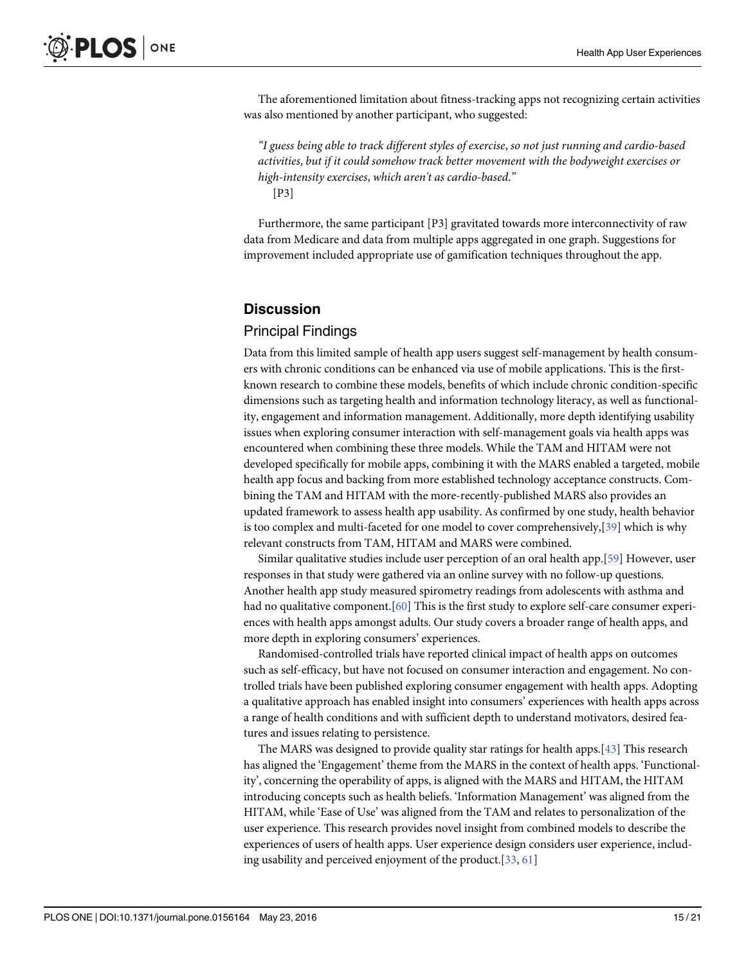<span id="page-14-0"></span>The aforementioned limitation about fitness-tracking apps not recognizing certain activities was also mentioned by another participant, who suggested:

"I guess being able to track different styles of exercise, so not just running and cardio-based activities, but if it could somehow track better movement with the bodyweight exercises or high-intensity exercises, which aren't as cardio-based." [P3]

Furthermore, the same participant [P3] gravitated towards more interconnectivity of raw data from Medicare and data from multiple apps aggregated in one graph. Suggestions for improvement included appropriate use of gamification techniques throughout the app.

### **Discussion**

#### Principal Findings

Data from this limited sample of health app users suggest self-management by health consumers with chronic conditions can be enhanced via use of mobile applications. This is the firstknown research to combine these models, benefits of which include chronic condition-specific dimensions such as targeting health and information technology literacy, as well as functionality, engagement and information management. Additionally, more depth identifying usability issues when exploring consumer interaction with self-management goals via health apps was encountered when combining these three models. While the TAM and HITAM were not developed specifically for mobile apps, combining it with the MARS enabled a targeted, mobile health app focus and backing from more established technology acceptance constructs. Combining the TAM and HITAM with the more-recently-published MARS also provides an updated framework to assess health app usability. As confirmed by one study, health behavior is too complex and multi-faceted for one model to cover comprehensively,[\[39\]](#page-19-0) which is why relevant constructs from TAM, HITAM and MARS were combined.

Similar qualitative studies include user perception of an oral health app.[[59](#page-20-0)] However, user responses in that study were gathered via an online survey with no follow-up questions. Another health app study measured spirometry readings from adolescents with asthma and had no qualitative component.[[60](#page-20-0)] This is the first study to explore self-care consumer experiences with health apps amongst adults. Our study covers a broader range of health apps, and more depth in exploring consumers' experiences.

Randomised-controlled trials have reported clinical impact of health apps on outcomes such as self-efficacy, but have not focused on consumer interaction and engagement. No controlled trials have been published exploring consumer engagement with health apps. Adopting a qualitative approach has enabled insight into consumers' experiences with health apps across a range of health conditions and with sufficient depth to understand motivators, desired features and issues relating to persistence.

The MARS was designed to provide quality star ratings for health apps.[[43](#page-19-0)] This research has aligned the 'Engagement' theme from the MARS in the context of health apps. 'Functionality', concerning the operability of apps, is aligned with the MARS and HITAM, the HITAM introducing concepts such as health beliefs. 'Information Management' was aligned from the HITAM, while 'Ease of Use' was aligned from the TAM and relates to personalization of the user experience. This research provides novel insight from combined models to describe the experiences of users of health apps. User experience design considers user experience, including usability and perceived enjoyment of the product.[[33](#page-19-0), [61](#page-20-0)]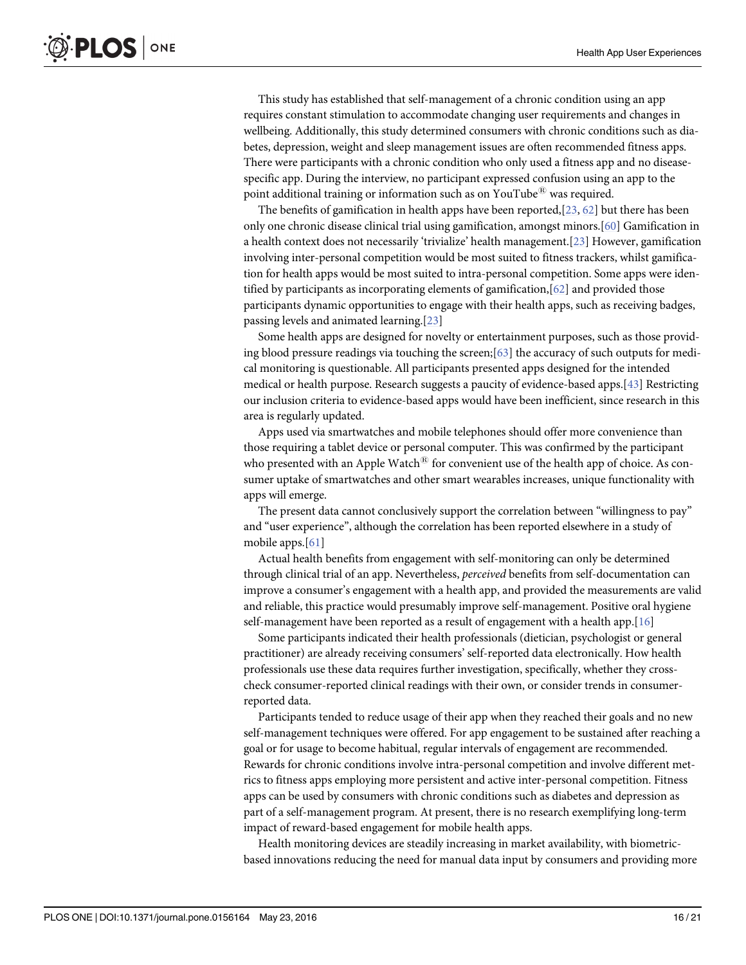<span id="page-15-0"></span>This study has established that self-management of a chronic condition using an app requires constant stimulation to accommodate changing user requirements and changes in wellbeing. Additionally, this study determined consumers with chronic conditions such as diabetes, depression, weight and sleep management issues are often recommended fitness apps. There were participants with a chronic condition who only used a fitness app and no diseasespecific app. During the interview, no participant expressed confusion using an app to the point additional training or information such as on YouTube<sup>®</sup> was required.

The benefits of gamification in health apps have been reported,[\[23,](#page-18-0) [62\]](#page-20-0) but there has been only one chronic disease clinical trial using gamification, amongst minors.[\[60\]](#page-20-0) Gamification in a health context does not necessarily 'trivialize' health management.[[23](#page-18-0)] However, gamification involving inter-personal competition would be most suited to fitness trackers, whilst gamification for health apps would be most suited to intra-personal competition. Some apps were identified by participants as incorporating elements of gamification,[\[62\]](#page-20-0) and provided those participants dynamic opportunities to engage with their health apps, such as receiving badges, passing levels and animated learning.[[23](#page-18-0)]

Some health apps are designed for novelty or entertainment purposes, such as those providing blood pressure readings via touching the screen; $[63]$  the accuracy of such outputs for medical monitoring is questionable. All participants presented apps designed for the intended medical or health purpose. Research suggests a paucity of evidence-based apps.[\[43\]](#page-19-0) Restricting our inclusion criteria to evidence-based apps would have been inefficient, since research in this area is regularly updated.

Apps used via smartwatches and mobile telephones should offer more convenience than those requiring a tablet device or personal computer. This was confirmed by the participant who presented with an Apple Watch<sup> $48$ </sup> for convenient use of the health app of choice. As consumer uptake of smartwatches and other smart wearables increases, unique functionality with apps will emerge.

The present data cannot conclusively support the correlation between "willingness to pay" and "user experience", although the correlation has been reported elsewhere in a study of mobile apps.[[61](#page-20-0)]

Actual health benefits from engagement with self-monitoring can only be determined through clinical trial of an app. Nevertheless, *perceived* benefits from self-documentation can improve a consumer's engagement with a health app, and provided the measurements are valid and reliable, this practice would presumably improve self-management. Positive oral hygiene self-management have been reported as a result of engagement with a health app. $[16]$ 

Some participants indicated their health professionals (dietician, psychologist or general practitioner) are already receiving consumers' self-reported data electronically. How health professionals use these data requires further investigation, specifically, whether they crosscheck consumer-reported clinical readings with their own, or consider trends in consumerreported data.

Participants tended to reduce usage of their app when they reached their goals and no new self-management techniques were offered. For app engagement to be sustained after reaching a goal or for usage to become habitual, regular intervals of engagement are recommended. Rewards for chronic conditions involve intra-personal competition and involve different metrics to fitness apps employing more persistent and active inter-personal competition. Fitness apps can be used by consumers with chronic conditions such as diabetes and depression as part of a self-management program. At present, there is no research exemplifying long-term impact of reward-based engagement for mobile health apps.

Health monitoring devices are steadily increasing in market availability, with biometricbased innovations reducing the need for manual data input by consumers and providing more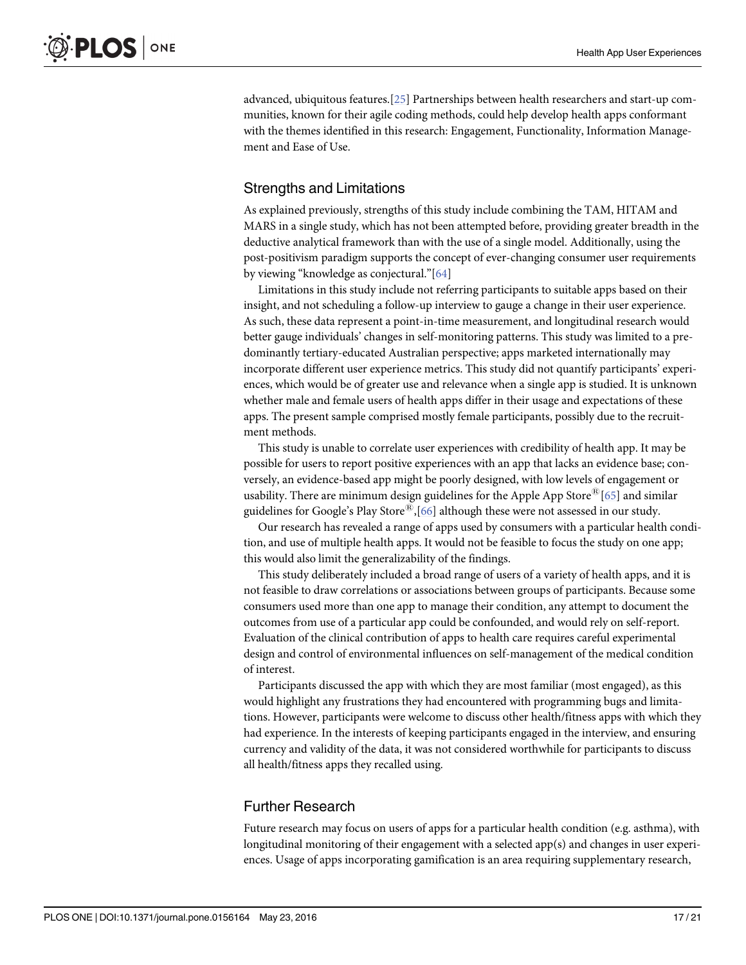<span id="page-16-0"></span>advanced, ubiquitous features.[[25](#page-18-0)] Partnerships between health researchers and start-up communities, known for their agile coding methods, could help develop health apps conformant with the themes identified in this research: Engagement, Functionality, Information Management and Ease of Use.

#### Strengths and Limitations

As explained previously, strengths of this study include combining the TAM, HITAM and MARS in a single study, which has not been attempted before, providing greater breadth in the deductive analytical framework than with the use of a single model. Additionally, using the post-positivism paradigm supports the concept of ever-changing consumer user requirements by viewing "knowledge as conjectural."[[64](#page-20-0)]

Limitations in this study include not referring participants to suitable apps based on their insight, and not scheduling a follow-up interview to gauge a change in their user experience. As such, these data represent a point-in-time measurement, and longitudinal research would better gauge individuals' changes in self-monitoring patterns. This study was limited to a predominantly tertiary-educated Australian perspective; apps marketed internationally may incorporate different user experience metrics. This study did not quantify participants' experiences, which would be of greater use and relevance when a single app is studied. It is unknown whether male and female users of health apps differ in their usage and expectations of these apps. The present sample comprised mostly female participants, possibly due to the recruitment methods.

This study is unable to correlate user experiences with credibility of health app. It may be possible for users to report positive experiences with an app that lacks an evidence base; conversely, an evidence-based app might be poorly designed, with low levels of engagement or usability. There are minimum design guidelines for the Apple App Store<sup>®</sup>[\[65\]](#page-20-0) and similar guidelines for Google's Play Store<sup>®</sup>,[\[66](#page-20-0)] although these were not assessed in our study.

Our research has revealed a range of apps used by consumers with a particular health condition, and use of multiple health apps. It would not be feasible to focus the study on one app; this would also limit the generalizability of the findings.

This study deliberately included a broad range of users of a variety of health apps, and it is not feasible to draw correlations or associations between groups of participants. Because some consumers used more than one app to manage their condition, any attempt to document the outcomes from use of a particular app could be confounded, and would rely on self-report. Evaluation of the clinical contribution of apps to health care requires careful experimental design and control of environmental influences on self-management of the medical condition of interest.

Participants discussed the app with which they are most familiar (most engaged), as this would highlight any frustrations they had encountered with programming bugs and limitations. However, participants were welcome to discuss other health/fitness apps with which they had experience. In the interests of keeping participants engaged in the interview, and ensuring currency and validity of the data, it was not considered worthwhile for participants to discuss all health/fitness apps they recalled using.

# Further Research

Future research may focus on users of apps for a particular health condition (e.g. asthma), with longitudinal monitoring of their engagement with a selected app(s) and changes in user experiences. Usage of apps incorporating gamification is an area requiring supplementary research,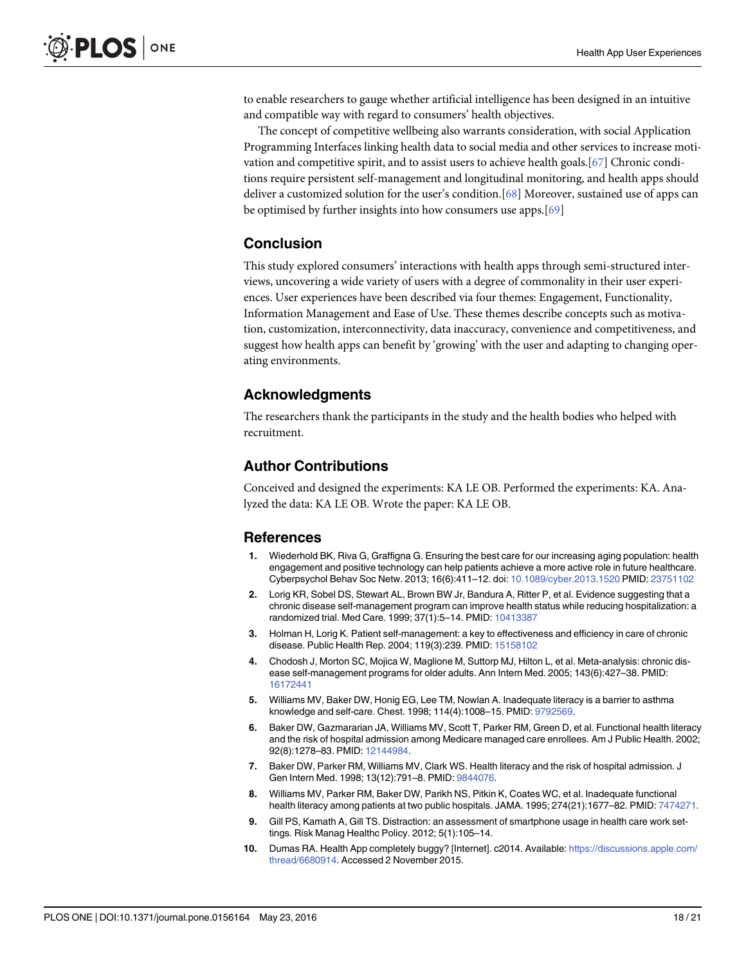<span id="page-17-0"></span>to enable researchers to gauge whether artificial intelligence has been designed in an intuitive and compatible way with regard to consumers' health objectives.

The concept of competitive wellbeing also warrants consideration, with social Application Programming Interfaces linking health data to social media and other services to increase motivation and competitive spirit, and to assist users to achieve health goals.[\[67\]](#page-20-0) Chronic conditions require persistent self-management and longitudinal monitoring, and health apps should deliver a customized solution for the user's condition.[\[68\]](#page-20-0) Moreover, sustained use of apps can be optimised by further insights into how consumers use apps.[\[69\]](#page-20-0)

# Conclusion

This study explored consumers' interactions with health apps through semi-structured interviews, uncovering a wide variety of users with a degree of commonality in their user experiences. User experiences have been described via four themes: Engagement, Functionality, Information Management and Ease of Use. These themes describe concepts such as motivation, customization, interconnectivity, data inaccuracy, convenience and competitiveness, and suggest how health apps can benefit by 'growing' with the user and adapting to changing operating environments.

# Acknowledgments

The researchers thank the participants in the study and the health bodies who helped with recruitment.

### Author Contributions

Conceived and designed the experiments: KA LE OB. Performed the experiments: KA. Analyzed the data: KA LE OB. Wrote the paper: KA LE OB.

# References

- [1.](#page-1-0) Wiederhold BK, Riva G, Graffigna G. Ensuring the best care for our increasing aging population: health engagement and positive technology can help patients achieve a more active role in future healthcare. Cyberpsychol Behav Soc Netw. 2013; 16(6):411–12. doi: [10.1089/cyber.2013.1520](http://dx.doi.org/10.1089/cyber.2013.1520) PMID: [23751102](http://www.ncbi.nlm.nih.gov/pubmed/23751102)
- [2.](#page-1-0) Lorig KR, Sobel DS, Stewart AL, Brown BW Jr, Bandura A, Ritter P, et al. Evidence suggesting that a chronic disease self-management program can improve health status while reducing hospitalization: a randomized trial. Med Care. 1999; 37(1):5–14. PMID: [10413387](http://www.ncbi.nlm.nih.gov/pubmed/10413387)
- [3.](#page-1-0) Holman H, Lorig K. Patient self-management: a key to effectiveness and efficiency in care of chronic disease. Public Health Rep. 2004; 119(3):239. PMID: [15158102](http://www.ncbi.nlm.nih.gov/pubmed/15158102)
- [4.](#page-1-0) Chodosh J, Morton SC, Mojica W, Maglione M, Suttorp MJ, Hilton L, et al. Meta-analysis: chronic disease self-management programs for older adults. Ann Intern Med. 2005; 143(6):427–38. PMID: [16172441](http://www.ncbi.nlm.nih.gov/pubmed/16172441)
- [5.](#page-1-0) Williams MV, Baker DW, Honig EG, Lee TM, Nowlan A. Inadequate literacy is a barrier to asthma knowledge and self-care. Chest. 1998; 114(4):1008-15. PMID: [9792569](http://www.ncbi.nlm.nih.gov/pubmed/9792569)
- 6. Baker DW, Gazmararian JA, Williams MV, Scott T, Parker RM, Green D, et al. Functional health literacy and the risk of hospital admission among Medicare managed care enrollees. Am J Public Health. 2002; 92(8):1278–83. PMID: [12144984](http://www.ncbi.nlm.nih.gov/pubmed/12144984).
- 7. Baker DW, Parker RM, Williams MV, Clark WS. Health literacy and the risk of hospital admission. J Gen Intern Med. 1998; 13(12):791–8. PMID: [9844076.](http://www.ncbi.nlm.nih.gov/pubmed/9844076)
- [8.](#page-1-0) Williams MV, Parker RM, Baker DW, Parikh NS, Pitkin K, Coates WC, et al. Inadequate functional health literacy among patients at two public hospitals. JAMA. 1995; 274(21):1677–82. PMID: [7474271.](http://www.ncbi.nlm.nih.gov/pubmed/7474271)
- [9.](#page-1-0) Gill PS, Kamath A, Gill TS. Distraction: an assessment of smartphone usage in health care work settings. Risk Manag Healthc Policy. 2012; 5(1):105–14.
- [10.](#page-1-0) Dumas RA. Health App completely buggy? [Internet]. c2014. Available: [https://discussions.apple.com/](https://discussions.apple.com/thread/6680914) [thread/6680914](https://discussions.apple.com/thread/6680914). Accessed 2 November 2015.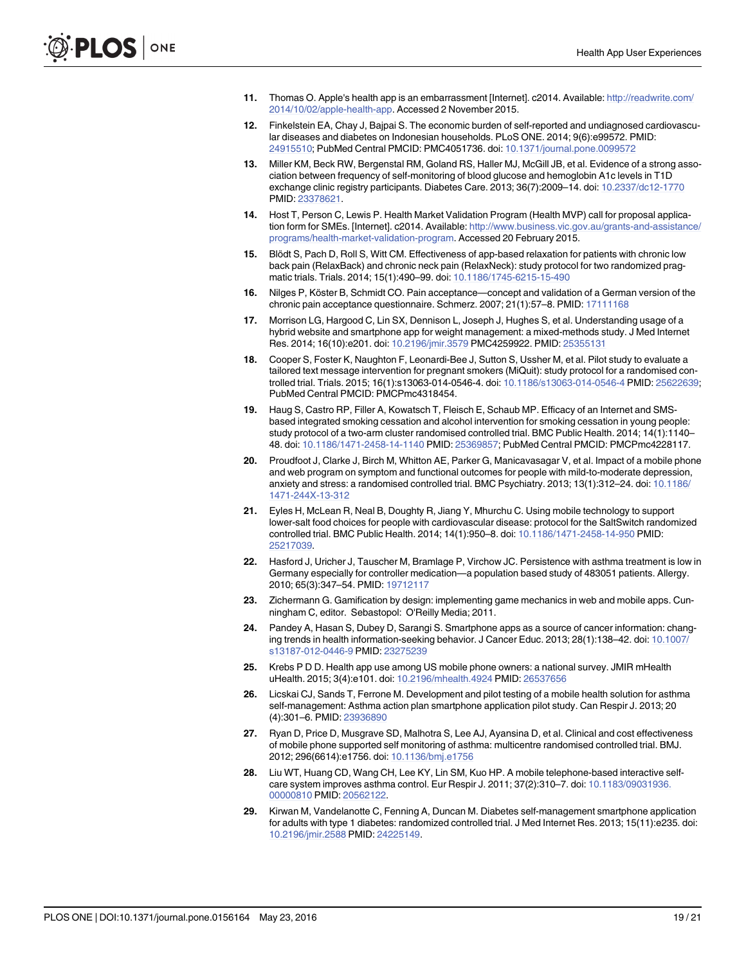- <span id="page-18-0"></span>[11.](#page-1-0) Thomas O. Apple's health app is an embarrassment [Internet]. c2014. Available: [http://readwrite.com/](http://readwrite.com/2014/10/02/apple-health-app) [2014/10/02/apple-health-app.](http://readwrite.com/2014/10/02/apple-health-app) Accessed 2 November 2015.
- [12.](#page-1-0) Finkelstein EA, Chay J, Bajpai S. The economic burden of self-reported and undiagnosed cardiovascular diseases and diabetes on Indonesian households. PLoS ONE. 2014; 9(6):e99572. PMID: [24915510](http://www.ncbi.nlm.nih.gov/pubmed/24915510); PubMed Central PMCID: PMC4051736. doi: [10.1371/journal.pone.0099572](http://dx.doi.org/10.1371/journal.pone.0099572)
- [13.](#page-1-0) Miller KM, Beck RW, Bergenstal RM, Goland RS, Haller MJ, McGill JB, et al. Evidence of a strong association between frequency of self-monitoring of blood glucose and hemoglobin A1c levels in T1D exchange clinic registry participants. Diabetes Care. 2013; 36(7):2009–14. doi: [10.2337/dc12-1770](http://dx.doi.org/10.2337/dc12-1770) PMID: [23378621.](http://www.ncbi.nlm.nih.gov/pubmed/23378621)
- [14.](#page-1-0) Host T, Person C, Lewis P. Health Market Validation Program (Health MVP) call for proposal application form for SMEs. [Internet]. c2014. Available: [http://www.business.vic.gov.au/grants-and-assistance/](http://www.business.vic.gov.au/grants-and-assistance/programs/health-market-validation-program) [programs/health-market-validation-program.](http://www.business.vic.gov.au/grants-and-assistance/programs/health-market-validation-program) Accessed 20 February 2015.
- [15.](#page-1-0) Blödt S, Pach D, Roll S, Witt CM. Effectiveness of app-based relaxation for patients with chronic low back pain (RelaxBack) and chronic neck pain (RelaxNeck): study protocol for two randomized pragmatic trials. Trials. 2014; 15(1):490–99. doi: [10.1186/1745-6215-15-490](http://dx.doi.org/10.1186/1745-6215-15-490)
- [16.](#page-1-0) Nilges P, Köster B, Schmidt CO. Pain acceptance—concept and validation of a German version of the chronic pain acceptance questionnaire. Schmerz. 2007; 21(1):57–8. PMID: [17111168](http://www.ncbi.nlm.nih.gov/pubmed/17111168)
- [17.](#page-1-0) Morrison LG, Hargood C, Lin SX, Dennison L, Joseph J, Hughes S, et al. Understanding usage of a hybrid website and smartphone app for weight management: a mixed-methods study. J Med Internet Res. 2014; 16(10):e201. doi: [10.2196/jmir.3579](http://dx.doi.org/10.2196/jmir.3579) PMC4259922. PMID: [25355131](http://www.ncbi.nlm.nih.gov/pubmed/25355131)
- [18.](#page-2-0) Cooper S, Foster K, Naughton F, Leonardi-Bee J, Sutton S, Ussher M, et al. Pilot study to evaluate a tailored text message intervention for pregnant smokers (MiQuit): study protocol for a randomised controlled trial. Trials. 2015; 16(1):s13063-014-0546-4. doi: [10.1186/s13063-014-0546-4](http://dx.doi.org/10.1186/s13063-014-0546-4) PMID: [25622639;](http://www.ncbi.nlm.nih.gov/pubmed/25622639) PubMed Central PMCID: PMCPmc4318454.
- [19.](#page-2-0) Haug S, Castro RP, Filler A, Kowatsch T, Fleisch E, Schaub MP. Efficacy of an Internet and SMSbased integrated smoking cessation and alcohol intervention for smoking cessation in young people: study protocol of a two-arm cluster randomised controlled trial. BMC Public Health. 2014; 14(1):1140– 48. doi: [10.1186/1471-2458-14-1140](http://dx.doi.org/10.1186/1471-2458-14-1140) PMID: [25369857;](http://www.ncbi.nlm.nih.gov/pubmed/25369857) PubMed Central PMCID: PMCPmc4228117.
- [20.](#page-2-0) Proudfoot J, Clarke J, Birch M, Whitton AE, Parker G, Manicavasagar V, et al. Impact of a mobile phone and web program on symptom and functional outcomes for people with mild-to-moderate depression, anxiety and stress: a randomised controlled trial. BMC Psychiatry. 2013; 13(1):312–24. doi: [10.1186/](http://dx.doi.org/10.1186/1471-244X-13-312) [1471-244X-13-312](http://dx.doi.org/10.1186/1471-244X-13-312)
- [21.](#page-2-0) Eyles H, McLean R, Neal B, Doughty R, Jiang Y, Mhurchu C. Using mobile technology to support lower-salt food choices for people with cardiovascular disease: protocol for the SaltSwitch randomized controlled trial. BMC Public Health. 2014; 14(1):950–8. doi: [10.1186/1471-2458-14-950](http://dx.doi.org/10.1186/1471-2458-14-950) PMID: [25217039](http://www.ncbi.nlm.nih.gov/pubmed/25217039).
- [22.](#page-2-0) Hasford J, Uricher J, Tauscher M, Bramlage P, Virchow JC. Persistence with asthma treatment is low in Germany especially for controller medication—a population based study of 483051 patients. Allergy. 2010; 65(3):347–54. PMID: [19712117](http://www.ncbi.nlm.nih.gov/pubmed/19712117)
- [23.](#page-2-0) Zichermann G. Gamification by design: implementing game mechanics in web and mobile apps. Cunningham C, editor. Sebastopol: O'Reilly Media; 2011.
- [24.](#page-2-0) Pandey A, Hasan S, Dubey D, Sarangi S. Smartphone apps as a source of cancer information: changing trends in health information-seeking behavior. J Cancer Educ. 2013; 28(1):138–42. doi: [10.1007/](http://dx.doi.org/10.1007/s13187-012-0446-9) [s13187-012-0446-9](http://dx.doi.org/10.1007/s13187-012-0446-9) PMID: [23275239](http://www.ncbi.nlm.nih.gov/pubmed/23275239)
- [25.](#page-2-0) Krebs P D D. Health app use among US mobile phone owners: a national survey. JMIR mHealth uHealth. 2015; 3(4):e101. doi: [10.2196/mhealth.4924](http://dx.doi.org/10.2196/mhealth.4924) PMID: [26537656](http://www.ncbi.nlm.nih.gov/pubmed/26537656)
- [26.](#page-2-0) Licskai CJ, Sands T, Ferrone M. Development and pilot testing of a mobile health solution for asthma self-management: Asthma action plan smartphone application pilot study. Can Respir J. 2013; 20 (4):301–6. PMID: [23936890](http://www.ncbi.nlm.nih.gov/pubmed/23936890)
- [27.](#page-2-0) Ryan D, Price D, Musgrave SD, Malhotra S, Lee AJ, Ayansina D, et al. Clinical and cost effectiveness of mobile phone supported self monitoring of asthma: multicentre randomised controlled trial. BMJ. 2012; 296(6614):e1756. doi: [10.1136/bmj.e1756](http://dx.doi.org/10.1136/bmj.e1756)
- [28.](#page-2-0) Liu WT, Huang CD, Wang CH, Lee KY, Lin SM, Kuo HP. A mobile telephone-based interactive selfcare system improves asthma control. Eur Respir J. 2011; 37(2):310–7. doi: [10.1183/09031936.](http://dx.doi.org/10.1183/09031936.00000810) [00000810](http://dx.doi.org/10.1183/09031936.00000810) PMID: [20562122.](http://www.ncbi.nlm.nih.gov/pubmed/20562122)
- [29.](#page-2-0) Kirwan M, Vandelanotte C, Fenning A, Duncan M. Diabetes self-management smartphone application for adults with type 1 diabetes: randomized controlled trial. J Med Internet Res. 2013; 15(11):e235. doi: [10.2196/jmir.2588](http://dx.doi.org/10.2196/jmir.2588) PMID: [24225149.](http://www.ncbi.nlm.nih.gov/pubmed/24225149)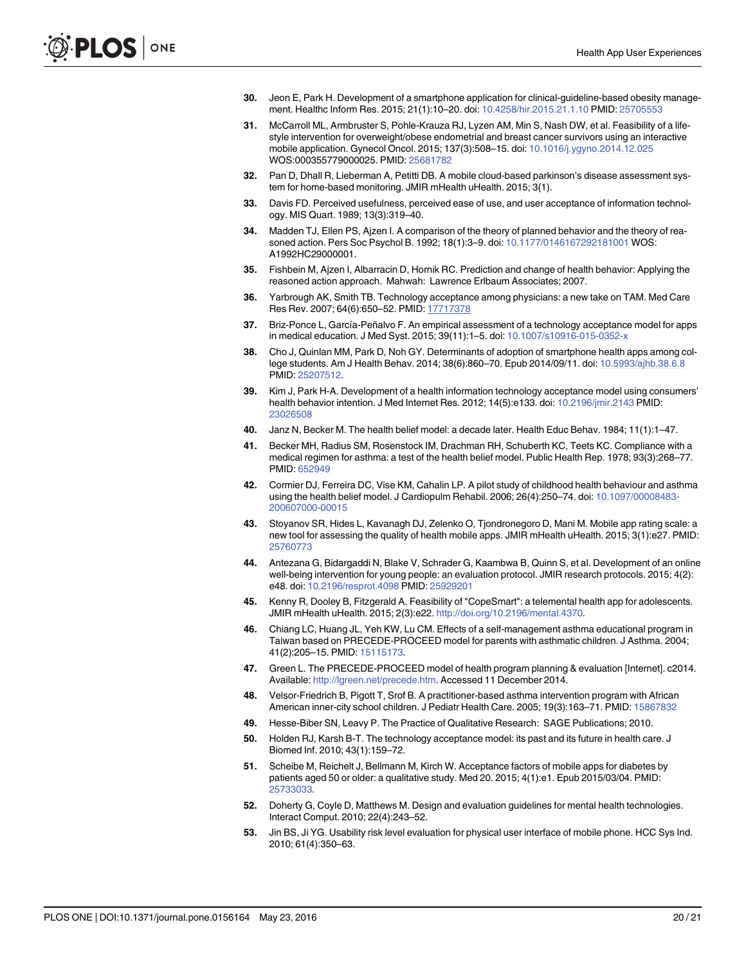- <span id="page-19-0"></span>[30.](#page-2-0) Jeon E, Park H. Development of a smartphone application for clinical-guideline-based obesity management. Healthc Inform Res. 2015; 21(1):10–20. doi: [10.4258/hir.2015.21.1.10](http://dx.doi.org/10.4258/hir.2015.21.1.10) PMID: [25705553](http://www.ncbi.nlm.nih.gov/pubmed/25705553)
- [31.](#page-2-0) McCarroll ML, Armbruster S, Pohle-Krauza RJ, Lyzen AM, Min S, Nash DW, et al. Feasibility of a lifestyle intervention for overweight/obese endometrial and breast cancer survivors using an interactive mobile application. Gynecol Oncol. 2015; 137(3):508–15. doi: [10.1016/j.ygyno.2014.12.025](http://dx.doi.org/10.1016/j.ygyno.2014.12.025) WOS:000355779000025. PMID: [25681782](http://www.ncbi.nlm.nih.gov/pubmed/25681782)
- [32.](#page-2-0) Pan D, Dhall R, Lieberman A, Petitti DB. A mobile cloud-based parkinson's disease assessment system for home-based monitoring. JMIR mHealth uHealth. 2015; 3(1).
- [33.](#page-2-0) Davis FD. Perceived usefulness, perceived ease of use, and user acceptance of information technology. MIS Quart. 1989; 13(3):319–40.
- [34.](#page-2-0) Madden TJ, Ellen PS, Ajzen I. A comparison of the theory of planned behavior and the theory of reasoned action. Pers Soc Psychol B. 1992; 18(1):3–9. doi: [10.1177/0146167292181001](http://dx.doi.org/10.1177/0146167292181001) WOS: A1992HC29000001.
- [35.](#page-2-0) Fishbein M, Ajzen I, Albarracin D, Hornik RC. Prediction and change of health behavior: Applying the reasoned action approach. Mahwah: Lawrence Erlbaum Associates; 2007.
- [36.](#page-2-0) Yarbrough AK, Smith TB. Technology acceptance among physicians: a new take on TAM. Med Care Res Rev. 2007; 64(6):650–52. PMID: [17717378](http://www.ncbi.nlm.nih.gov/pubmed/17717378)
- [37.](#page-2-0) Briz-Ponce L, García-Peñalvo F. An empirical assessment of a technology acceptance model for apps in medical education. J Med Syst. 2015; 39(11):1–5. doi: [10.1007/s10916-015-0352-x](http://dx.doi.org/10.1007/s10916-015-0352-x)
- [38.](#page-2-0) Cho J, Quinlan MM, Park D, Noh GY. Determinants of adoption of smartphone health apps among college students. Am J Health Behav. 2014; 38(6):860–70. Epub 2014/09/11. doi: [10.5993/ajhb.38.6.8](http://dx.doi.org/10.5993/ajhb.38.6.8) PMID: [25207512.](http://www.ncbi.nlm.nih.gov/pubmed/25207512)
- [39.](#page-2-0) Kim J, Park H-A. Development of a health information technology acceptance model using consumers' health behavior intention. J Med Internet Res. 2012; 14(5):e133. doi: [10.2196/jmir.2143](http://dx.doi.org/10.2196/jmir.2143) PMID: [23026508](http://www.ncbi.nlm.nih.gov/pubmed/23026508)
- [40.](#page-2-0) Janz N, Becker M. The health belief model: a decade later. Health Educ Behav. 1984; 11(1):1–47.
- [41.](#page-3-0) Becker MH, Radius SM, Rosenstock IM, Drachman RH, Schuberth KC, Teets KC. Compliance with a medical regimen for asthma: a test of the health belief model. Public Health Rep. 1978; 93(3):268–77. PMID: [652949](http://www.ncbi.nlm.nih.gov/pubmed/652949)
- [42.](#page-3-0) Cormier DJ, Ferreira DC, Vise KM, Cahalin LP. A pilot study of childhood health behaviour and asthma using the health belief model. J Cardiopulm Rehabil. 2006; 26(4):250–74. doi: [10.1097/00008483-](http://dx.doi.org/10.1097/00008483-200607000-00015) [200607000-00015](http://dx.doi.org/10.1097/00008483-200607000-00015)
- [43.](#page-3-0) Stoyanov SR, Hides L, Kavanagh DJ, Zelenko O, Tjondronegoro D, Mani M. Mobile app rating scale: a new tool for assessing the quality of health mobile apps. JMIR mHealth uHealth. 2015; 3(1):e27. PMID: [25760773](http://www.ncbi.nlm.nih.gov/pubmed/25760773)
- [44.](#page-3-0) Antezana G, Bidargaddi N, Blake V, Schrader G, Kaambwa B, Quinn S, et al. Development of an online well-being intervention for young people: an evaluation protocol. JMIR research protocols. 2015; 4(2): e48. doi: [10.2196/resprot.4098](http://dx.doi.org/10.2196/resprot.4098) PMID: [25929201](http://www.ncbi.nlm.nih.gov/pubmed/25929201)
- [45.](#page-3-0) Kenny R, Dooley B, Fitzgerald A. Feasibility of "CopeSmart": a telemental health app for adolescents. JMIR mHealth uHealth. 2015; 2(3):e22. <http://doi.org/10.2196/mental.4370>.
- [46.](#page-3-0) Chiang LC, Huang JL, Yeh KW, Lu CM. Effects of a self-management asthma educational program in Taiwan based on PRECEDE-PROCEED model for parents with asthmatic children. J Asthma. 2004; 41(2):205–15. PMID: [15115173.](http://www.ncbi.nlm.nih.gov/pubmed/15115173)
- [47.](#page-3-0) Green L. The PRECEDE-PROCEED model of health program planning & evaluation [Internet]. c2014. Available: [http://lgreen.net/precede.htm.](http://lgreen.net/precede.htm) Accessed 11 December 2014.
- [48.](#page-3-0) Velsor-Friedrich B, Pigott T, Srof B. A practitioner-based asthma intervention program with African American inner-city school children. J Pediatr Health Care. 2005; 19(3):163–71. PMID: [15867832](http://www.ncbi.nlm.nih.gov/pubmed/15867832)
- [49.](#page-3-0) Hesse-Biber SN, Leavy P. The Practice of Qualitative Research: SAGE Publications; 2010.
- [50.](#page-4-0) Holden RJ, Karsh B-T. The technology acceptance model: its past and its future in health care. J Biomed Inf. 2010; 43(1):159–72.
- [51.](#page-4-0) Scheibe M, Reichelt J, Bellmann M, Kirch W. Acceptance factors of mobile apps for diabetes by patients aged 50 or older: a qualitative study. Med 20. 2015; 4(1):e1. Epub 2015/03/04. PMID: [25733033](http://www.ncbi.nlm.nih.gov/pubmed/25733033).
- [52.](#page-4-0) Doherty G, Coyle D, Matthews M. Design and evaluation guidelines for mental health technologies. Interact Comput. 2010; 22(4):243–52.
- [53.](#page-4-0) Jin BS, Ji YG. Usability risk level evaluation for physical user interface of mobile phone. HCC Sys Ind. 2010; 61(4):350–63.